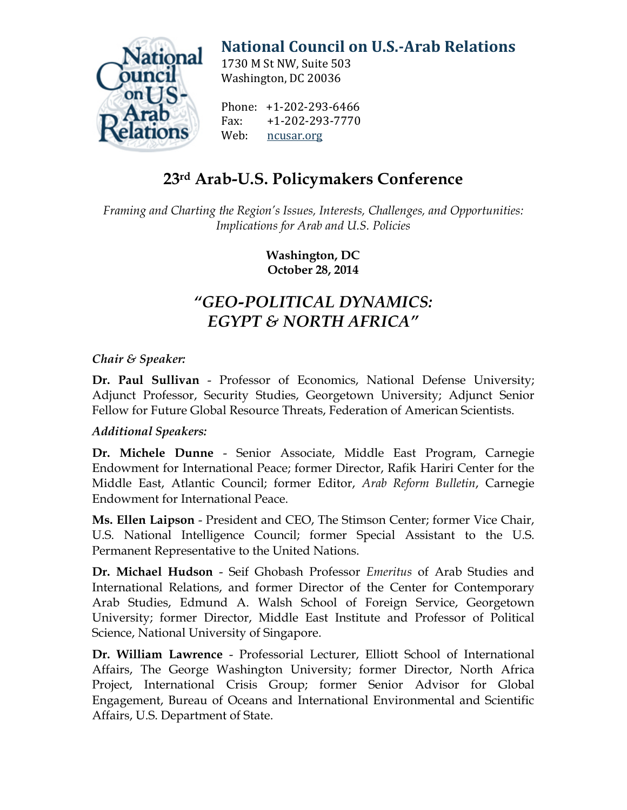

# **[National Council on U.S.-Arab Relations](http://ncusar.org/)**

1730 M St NW, Suite 503 Washington, DC 20036

Phone: +1-202-293-6466<br>Fax: +1-202-293-7770 Fax: +1-202-293-7770 [ncusar.org](http://ncusar.org/)

## **23rd Arab-U.S. Policymakers Conference**

*Framing and Charting the Region's Issues, Interests, Challenges, and Opportunities: Implications for Arab and U.S. Policies*

> **Washington, DC October 28, 2014**

## *"GEO-POLITICAL DYNAMICS: EGYPT & NORTH AFRICA"*

### *Chair & Speaker:*

**Dr. Paul Sullivan** - Professor of Economics, National Defense University; Adjunct Professor, Security Studies, Georgetown University; Adjunct Senior Fellow for Future Global Resource Threats, Federation of American Scientists.

### *Additional Speakers:*

**Dr. Michele Dunne** - Senior Associate, Middle East Program, Carnegie Endowment for International Peace; former Director, Rafik Hariri Center for the Middle East, Atlantic Council; former Editor, *Arab Reform Bulletin*, Carnegie Endowment for International Peace.

**Ms. Ellen Laipson** - President and CEO, The Stimson Center; former Vice Chair, U.S. National Intelligence Council; former Special Assistant to the U.S. Permanent Representative to the United Nations.

**Dr. Michael Hudson** - Seif Ghobash Professor *Emeritus* of Arab Studies and International Relations, and former Director of the Center for Contemporary Arab Studies, Edmund A. Walsh School of Foreign Service, Georgetown University; former Director, Middle East Institute and Professor of Political Science, National University of Singapore.

**Dr. William Lawrence** - Professorial Lecturer, Elliott School of International Affairs, The George Washington University; former Director, North Africa Project, International Crisis Group; former Senior Advisor for Global Engagement, Bureau of Oceans and International Environmental and Scientific Affairs, U.S. Department of State.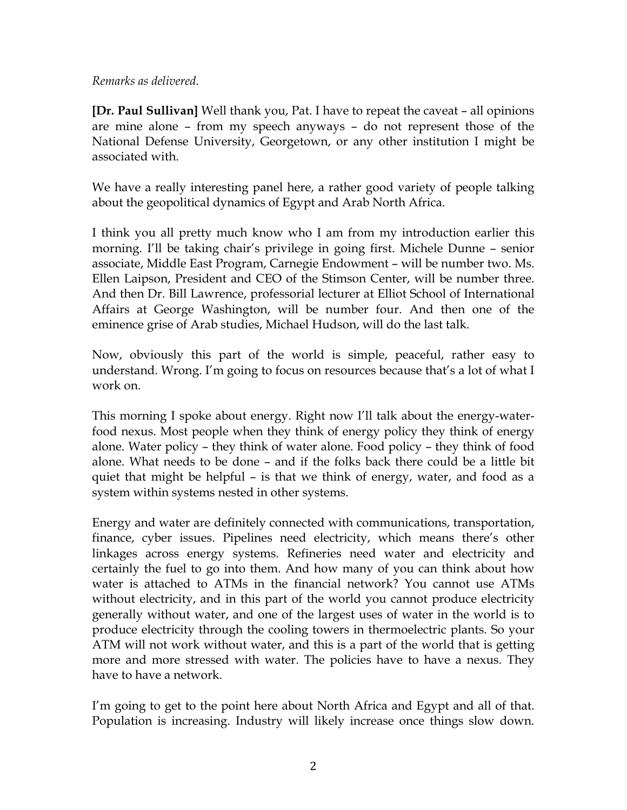#### *Remarks as delivered.*

**[Dr. Paul Sullivan]** Well thank you, Pat. I have to repeat the caveat – all opinions are mine alone – from my speech anyways – do not represent those of the National Defense University, Georgetown, or any other institution I might be associated with.

We have a really interesting panel here, a rather good variety of people talking about the geopolitical dynamics of Egypt and Arab North Africa.

I think you all pretty much know who I am from my introduction earlier this morning. I'll be taking chair's privilege in going first. Michele Dunne – senior associate, Middle East Program, Carnegie Endowment – will be number two. Ms. Ellen Laipson, President and CEO of the Stimson Center, will be number three. And then Dr. Bill Lawrence, professorial lecturer at Elliot School of International Affairs at George Washington, will be number four. And then one of the eminence grise of Arab studies, Michael Hudson, will do the last talk.

Now, obviously this part of the world is simple, peaceful, rather easy to understand. Wrong. I'm going to focus on resources because that's a lot of what I work on.

This morning I spoke about energy. Right now I'll talk about the energy-waterfood nexus. Most people when they think of energy policy they think of energy alone. Water policy – they think of water alone. Food policy – they think of food alone. What needs to be done – and if the folks back there could be a little bit quiet that might be helpful – is that we think of energy, water, and food as a system within systems nested in other systems.

Energy and water are definitely connected with communications, transportation, finance, cyber issues. Pipelines need electricity, which means there's other linkages across energy systems. Refineries need water and electricity and certainly the fuel to go into them. And how many of you can think about how water is attached to ATMs in the financial network? You cannot use ATMs without electricity, and in this part of the world you cannot produce electricity generally without water, and one of the largest uses of water in the world is to produce electricity through the cooling towers in thermoelectric plants. So your ATM will not work without water, and this is a part of the world that is getting more and more stressed with water. The policies have to have a nexus. They have to have a network.

I'm going to get to the point here about North Africa and Egypt and all of that. Population is increasing. Industry will likely increase once things slow down.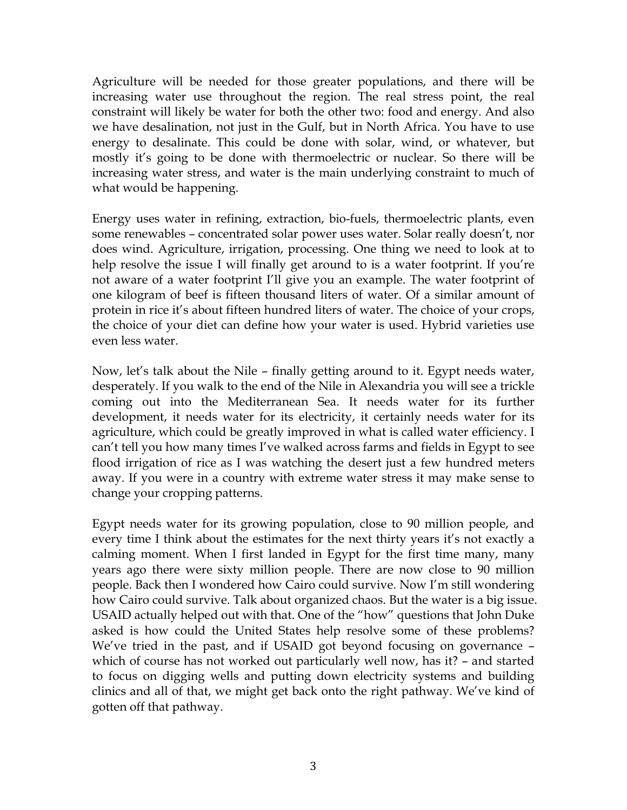Agriculture will be needed for those greater populations, and there will be increasing water use throughout the region. The real stress point, the real constraint will likely be water for both the other two: food and energy. And also we have desalination, not just in the Gulf, but in North Africa. You have to use energy to desalinate. This could be done with solar, wind, or whatever, but mostly it's going to be done with thermoelectric or nuclear. So there will be increasing water stress, and water is the main underlying constraint to much of what would be happening.

Energy uses water in refining, extraction, bio-fuels, thermoelectric plants, even some renewables – concentrated solar power uses water. Solar really doesn't, nor does wind. Agriculture, irrigation, processing. One thing we need to look at to help resolve the issue I will finally get around to is a water footprint. If you're not aware of a water footprint I'll give you an example. The water footprint of one kilogram of beef is fifteen thousand liters of water. Of a similar amount of protein in rice it's about fifteen hundred liters of water. The choice of your crops, the choice of your diet can define how your water is used. Hybrid varieties use even less water.

Now, let's talk about the Nile – finally getting around to it. Egypt needs water, desperately. If you walk to the end of the Nile in Alexandria you will see a trickle coming out into the Mediterranean Sea. It needs water for its further development, it needs water for its electricity, it certainly needs water for its agriculture, which could be greatly improved in what is called water efficiency. I can't tell you how many times I've walked across farms and fields in Egypt to see flood irrigation of rice as I was watching the desert just a few hundred meters away. If you were in a country with extreme water stress it may make sense to change your cropping patterns.

Egypt needs water for its growing population, close to 90 million people, and every time I think about the estimates for the next thirty years it's not exactly a calming moment. When I first landed in Egypt for the first time many, many years ago there were sixty million people. There are now close to 90 million people. Back then I wondered how Cairo could survive. Now I'm still wondering how Cairo could survive. Talk about organized chaos. But the water is a big issue. USAID actually helped out with that. One of the "how" questions that John Duke asked is how could the United States help resolve some of these problems? We've tried in the past, and if USAID got beyond focusing on governance – which of course has not worked out particularly well now, has it? – and started to focus on digging wells and putting down electricity systems and building clinics and all of that, we might get back onto the right pathway. We've kind of gotten off that pathway.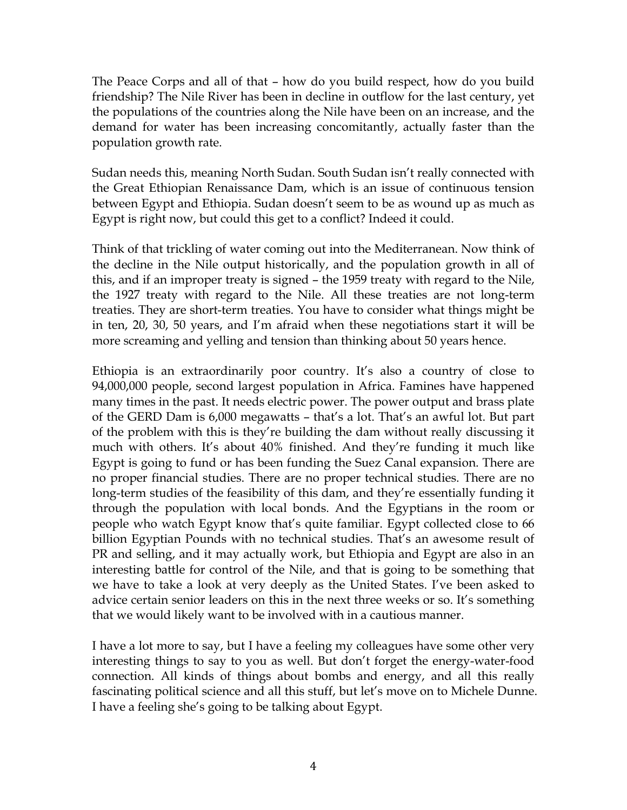The Peace Corps and all of that – how do you build respect, how do you build friendship? The Nile River has been in decline in outflow for the last century, yet the populations of the countries along the Nile have been on an increase, and the demand for water has been increasing concomitantly, actually faster than the population growth rate.

Sudan needs this, meaning North Sudan. South Sudan isn't really connected with the Great Ethiopian Renaissance Dam, which is an issue of continuous tension between Egypt and Ethiopia. Sudan doesn't seem to be as wound up as much as Egypt is right now, but could this get to a conflict? Indeed it could.

Think of that trickling of water coming out into the Mediterranean. Now think of the decline in the Nile output historically, and the population growth in all of this, and if an improper treaty is signed – the 1959 treaty with regard to the Nile, the 1927 treaty with regard to the Nile. All these treaties are not long-term treaties. They are short-term treaties. You have to consider what things might be in ten, 20, 30, 50 years, and I'm afraid when these negotiations start it will be more screaming and yelling and tension than thinking about 50 years hence.

Ethiopia is an extraordinarily poor country. It's also a country of close to 94,000,000 people, second largest population in Africa. Famines have happened many times in the past. It needs electric power. The power output and brass plate of the GERD Dam is 6,000 megawatts – that's a lot. That's an awful lot. But part of the problem with this is they're building the dam without really discussing it much with others. It's about 40% finished. And they're funding it much like Egypt is going to fund or has been funding the Suez Canal expansion. There are no proper financial studies. There are no proper technical studies. There are no long-term studies of the feasibility of this dam, and they're essentially funding it through the population with local bonds. And the Egyptians in the room or people who watch Egypt know that's quite familiar. Egypt collected close to 66 billion Egyptian Pounds with no technical studies. That's an awesome result of PR and selling, and it may actually work, but Ethiopia and Egypt are also in an interesting battle for control of the Nile, and that is going to be something that we have to take a look at very deeply as the United States. I've been asked to advice certain senior leaders on this in the next three weeks or so. It's something that we would likely want to be involved with in a cautious manner.

I have a lot more to say, but I have a feeling my colleagues have some other very interesting things to say to you as well. But don't forget the energy-water-food connection. All kinds of things about bombs and energy, and all this really fascinating political science and all this stuff, but let's move on to Michele Dunne. I have a feeling she's going to be talking about Egypt.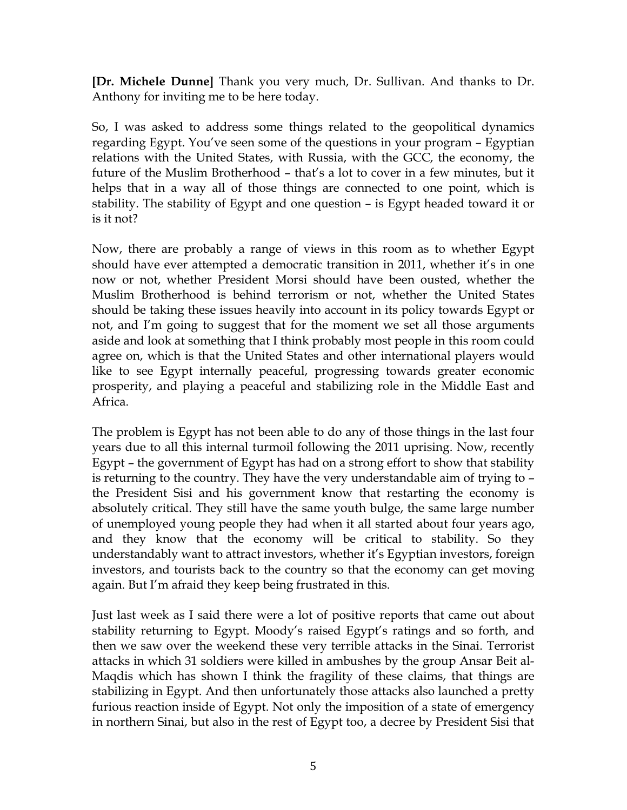**[Dr. Michele Dunne]** Thank you very much, Dr. Sullivan. And thanks to Dr. Anthony for inviting me to be here today.

So, I was asked to address some things related to the geopolitical dynamics regarding Egypt. You've seen some of the questions in your program – Egyptian relations with the United States, with Russia, with the GCC, the economy, the future of the Muslim Brotherhood – that's a lot to cover in a few minutes, but it helps that in a way all of those things are connected to one point, which is stability. The stability of Egypt and one question – is Egypt headed toward it or is it not?

Now, there are probably a range of views in this room as to whether Egypt should have ever attempted a democratic transition in 2011, whether it's in one now or not, whether President Morsi should have been ousted, whether the Muslim Brotherhood is behind terrorism or not, whether the United States should be taking these issues heavily into account in its policy towards Egypt or not, and I'm going to suggest that for the moment we set all those arguments aside and look at something that I think probably most people in this room could agree on, which is that the United States and other international players would like to see Egypt internally peaceful, progressing towards greater economic prosperity, and playing a peaceful and stabilizing role in the Middle East and Africa.

The problem is Egypt has not been able to do any of those things in the last four years due to all this internal turmoil following the 2011 uprising. Now, recently Egypt – the government of Egypt has had on a strong effort to show that stability is returning to the country. They have the very understandable aim of trying to – the President Sisi and his government know that restarting the economy is absolutely critical. They still have the same youth bulge, the same large number of unemployed young people they had when it all started about four years ago, and they know that the economy will be critical to stability. So they understandably want to attract investors, whether it's Egyptian investors, foreign investors, and tourists back to the country so that the economy can get moving again. But I'm afraid they keep being frustrated in this.

Just last week as I said there were a lot of positive reports that came out about stability returning to Egypt. Moody's raised Egypt's ratings and so forth, and then we saw over the weekend these very terrible attacks in the Sinai. Terrorist attacks in which 31 soldiers were killed in ambushes by the group Ansar Beit al-Maqdis which has shown I think the fragility of these claims, that things are stabilizing in Egypt. And then unfortunately those attacks also launched a pretty furious reaction inside of Egypt. Not only the imposition of a state of emergency in northern Sinai, but also in the rest of Egypt too, a decree by President Sisi that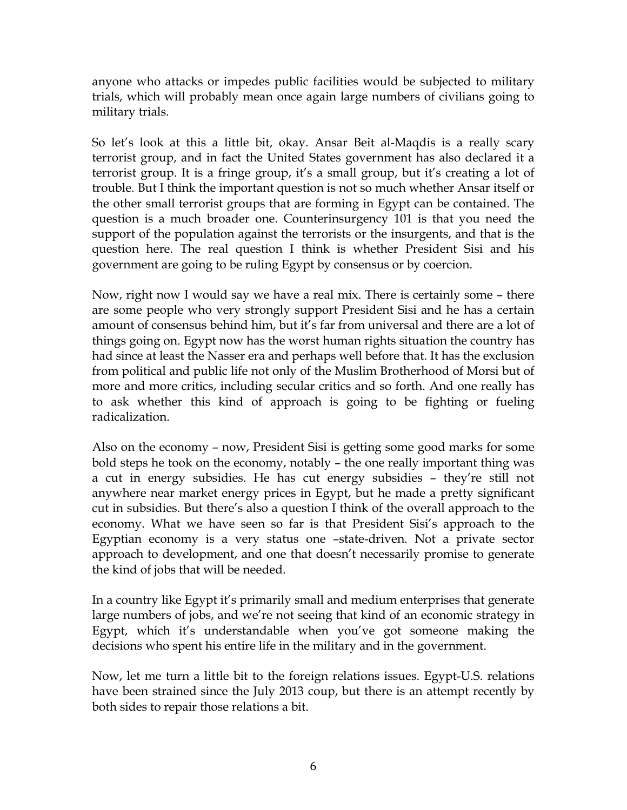anyone who attacks or impedes public facilities would be subjected to military trials, which will probably mean once again large numbers of civilians going to military trials.

So let's look at this a little bit, okay. Ansar Beit al-Maqdis is a really scary terrorist group, and in fact the United States government has also declared it a terrorist group. It is a fringe group, it's a small group, but it's creating a lot of trouble. But I think the important question is not so much whether Ansar itself or the other small terrorist groups that are forming in Egypt can be contained. The question is a much broader one. Counterinsurgency 101 is that you need the support of the population against the terrorists or the insurgents, and that is the question here. The real question I think is whether President Sisi and his government are going to be ruling Egypt by consensus or by coercion.

Now, right now I would say we have a real mix. There is certainly some – there are some people who very strongly support President Sisi and he has a certain amount of consensus behind him, but it's far from universal and there are a lot of things going on. Egypt now has the worst human rights situation the country has had since at least the Nasser era and perhaps well before that. It has the exclusion from political and public life not only of the Muslim Brotherhood of Morsi but of more and more critics, including secular critics and so forth. And one really has to ask whether this kind of approach is going to be fighting or fueling radicalization.

Also on the economy – now, President Sisi is getting some good marks for some bold steps he took on the economy, notably – the one really important thing was a cut in energy subsidies. He has cut energy subsidies – they're still not anywhere near market energy prices in Egypt, but he made a pretty significant cut in subsidies. But there's also a question I think of the overall approach to the economy. What we have seen so far is that President Sisi's approach to the Egyptian economy is a very status one –state-driven. Not a private sector approach to development, and one that doesn't necessarily promise to generate the kind of jobs that will be needed.

In a country like Egypt it's primarily small and medium enterprises that generate large numbers of jobs, and we're not seeing that kind of an economic strategy in Egypt, which it's understandable when you've got someone making the decisions who spent his entire life in the military and in the government.

Now, let me turn a little bit to the foreign relations issues. Egypt-U.S. relations have been strained since the July 2013 coup, but there is an attempt recently by both sides to repair those relations a bit.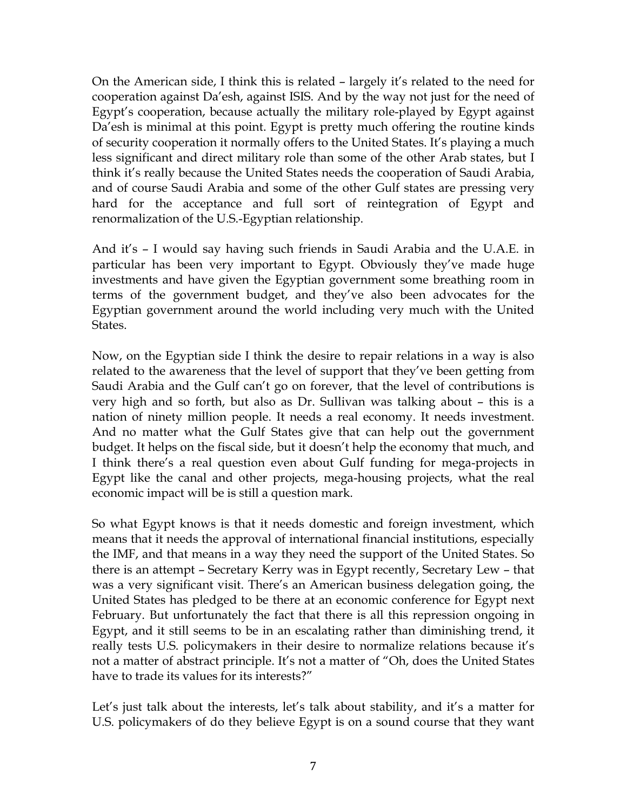On the American side, I think this is related – largely it's related to the need for cooperation against Da'esh, against ISIS. And by the way not just for the need of Egypt's cooperation, because actually the military role-played by Egypt against Da'esh is minimal at this point. Egypt is pretty much offering the routine kinds of security cooperation it normally offers to the United States. It's playing a much less significant and direct military role than some of the other Arab states, but I think it's really because the United States needs the cooperation of Saudi Arabia, and of course Saudi Arabia and some of the other Gulf states are pressing very hard for the acceptance and full sort of reintegration of Egypt and renormalization of the U.S.-Egyptian relationship.

And it's – I would say having such friends in Saudi Arabia and the U.A.E. in particular has been very important to Egypt. Obviously they've made huge investments and have given the Egyptian government some breathing room in terms of the government budget, and they've also been advocates for the Egyptian government around the world including very much with the United States.

Now, on the Egyptian side I think the desire to repair relations in a way is also related to the awareness that the level of support that they've been getting from Saudi Arabia and the Gulf can't go on forever, that the level of contributions is very high and so forth, but also as Dr. Sullivan was talking about – this is a nation of ninety million people. It needs a real economy. It needs investment. And no matter what the Gulf States give that can help out the government budget. It helps on the fiscal side, but it doesn't help the economy that much, and I think there's a real question even about Gulf funding for mega-projects in Egypt like the canal and other projects, mega-housing projects, what the real economic impact will be is still a question mark.

So what Egypt knows is that it needs domestic and foreign investment, which means that it needs the approval of international financial institutions, especially the IMF, and that means in a way they need the support of the United States. So there is an attempt – Secretary Kerry was in Egypt recently, Secretary Lew – that was a very significant visit. There's an American business delegation going, the United States has pledged to be there at an economic conference for Egypt next February. But unfortunately the fact that there is all this repression ongoing in Egypt, and it still seems to be in an escalating rather than diminishing trend, it really tests U.S. policymakers in their desire to normalize relations because it's not a matter of abstract principle. It's not a matter of "Oh, does the United States have to trade its values for its interests?"

Let's just talk about the interests, let's talk about stability, and it's a matter for U.S. policymakers of do they believe Egypt is on a sound course that they want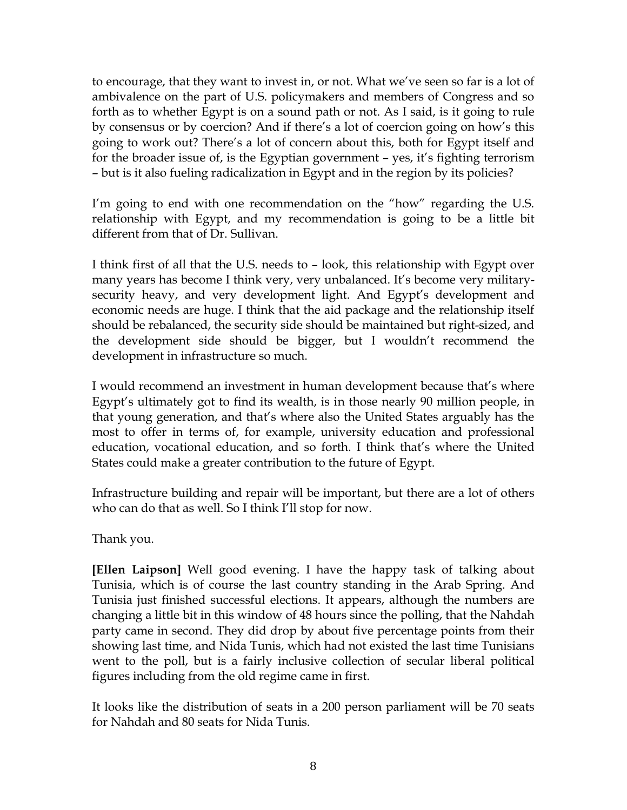to encourage, that they want to invest in, or not. What we've seen so far is a lot of ambivalence on the part of U.S. policymakers and members of Congress and so forth as to whether Egypt is on a sound path or not. As I said, is it going to rule by consensus or by coercion? And if there's a lot of coercion going on how's this going to work out? There's a lot of concern about this, both for Egypt itself and for the broader issue of, is the Egyptian government – yes, it's fighting terrorism – but is it also fueling radicalization in Egypt and in the region by its policies?

I'm going to end with one recommendation on the "how" regarding the U.S. relationship with Egypt, and my recommendation is going to be a little bit different from that of Dr. Sullivan.

I think first of all that the U.S. needs to – look, this relationship with Egypt over many years has become I think very, very unbalanced. It's become very militarysecurity heavy, and very development light. And Egypt's development and economic needs are huge. I think that the aid package and the relationship itself should be rebalanced, the security side should be maintained but right-sized, and the development side should be bigger, but I wouldn't recommend the development in infrastructure so much.

I would recommend an investment in human development because that's where Egypt's ultimately got to find its wealth, is in those nearly 90 million people, in that young generation, and that's where also the United States arguably has the most to offer in terms of, for example, university education and professional education, vocational education, and so forth. I think that's where the United States could make a greater contribution to the future of Egypt.

Infrastructure building and repair will be important, but there are a lot of others who can do that as well. So I think I'll stop for now.

Thank you.

**[Ellen Laipson]** Well good evening. I have the happy task of talking about Tunisia, which is of course the last country standing in the Arab Spring. And Tunisia just finished successful elections. It appears, although the numbers are changing a little bit in this window of 48 hours since the polling, that the Nahdah party came in second. They did drop by about five percentage points from their showing last time, and Nida Tunis, which had not existed the last time Tunisians went to the poll, but is a fairly inclusive collection of secular liberal political figures including from the old regime came in first.

It looks like the distribution of seats in a 200 person parliament will be 70 seats for Nahdah and 80 seats for Nida Tunis.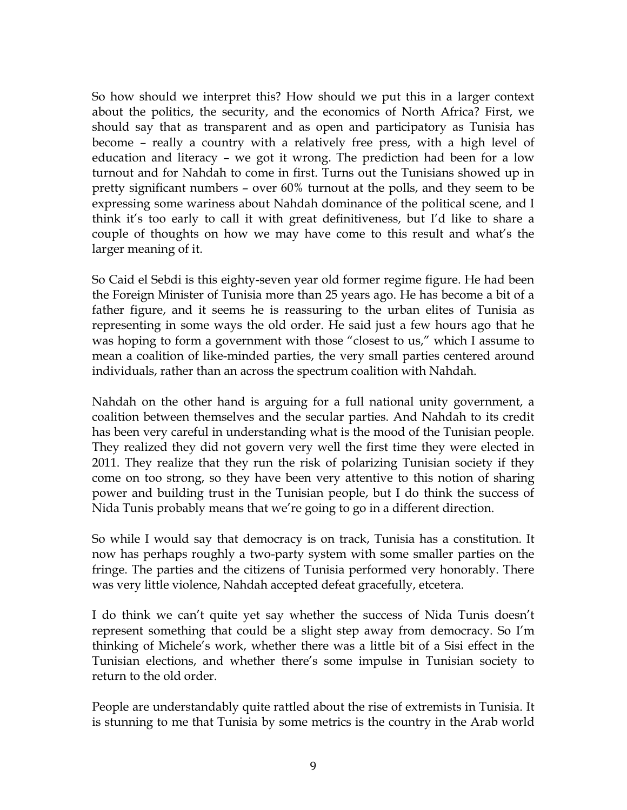So how should we interpret this? How should we put this in a larger context about the politics, the security, and the economics of North Africa? First, we should say that as transparent and as open and participatory as Tunisia has become – really a country with a relatively free press, with a high level of education and literacy – we got it wrong. The prediction had been for a low turnout and for Nahdah to come in first. Turns out the Tunisians showed up in pretty significant numbers – over 60% turnout at the polls, and they seem to be expressing some wariness about Nahdah dominance of the political scene, and I think it's too early to call it with great definitiveness, but I'd like to share a couple of thoughts on how we may have come to this result and what's the larger meaning of it.

So Caid el Sebdi is this eighty-seven year old former regime figure. He had been the Foreign Minister of Tunisia more than 25 years ago. He has become a bit of a father figure, and it seems he is reassuring to the urban elites of Tunisia as representing in some ways the old order. He said just a few hours ago that he was hoping to form a government with those "closest to us," which I assume to mean a coalition of like-minded parties, the very small parties centered around individuals, rather than an across the spectrum coalition with Nahdah.

Nahdah on the other hand is arguing for a full national unity government, a coalition between themselves and the secular parties. And Nahdah to its credit has been very careful in understanding what is the mood of the Tunisian people. They realized they did not govern very well the first time they were elected in 2011. They realize that they run the risk of polarizing Tunisian society if they come on too strong, so they have been very attentive to this notion of sharing power and building trust in the Tunisian people, but I do think the success of Nida Tunis probably means that we're going to go in a different direction.

So while I would say that democracy is on track, Tunisia has a constitution. It now has perhaps roughly a two-party system with some smaller parties on the fringe. The parties and the citizens of Tunisia performed very honorably. There was very little violence, Nahdah accepted defeat gracefully, etcetera.

I do think we can't quite yet say whether the success of Nida Tunis doesn't represent something that could be a slight step away from democracy. So I'm thinking of Michele's work, whether there was a little bit of a Sisi effect in the Tunisian elections, and whether there's some impulse in Tunisian society to return to the old order.

People are understandably quite rattled about the rise of extremists in Tunisia. It is stunning to me that Tunisia by some metrics is the country in the Arab world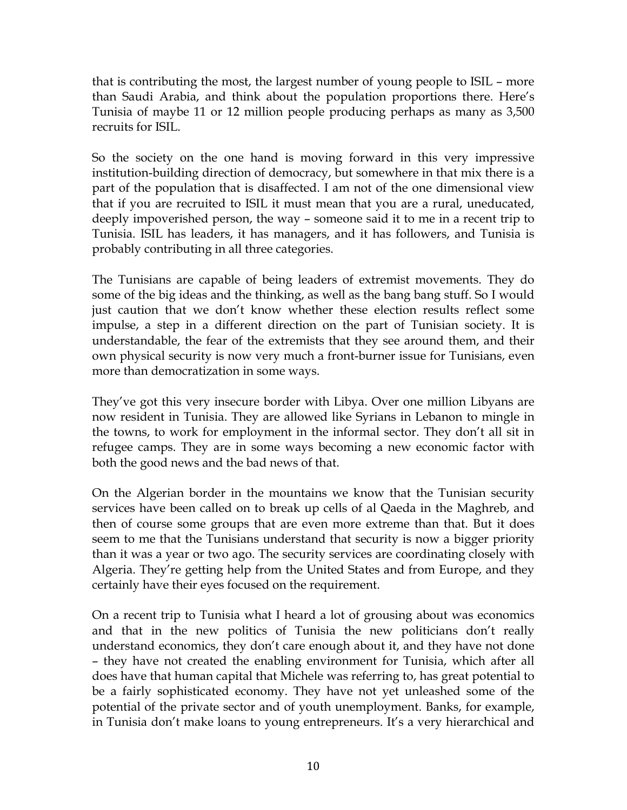that is contributing the most, the largest number of young people to ISIL – more than Saudi Arabia, and think about the population proportions there. Here's Tunisia of maybe 11 or 12 million people producing perhaps as many as 3,500 recruits for ISIL.

So the society on the one hand is moving forward in this very impressive institution-building direction of democracy, but somewhere in that mix there is a part of the population that is disaffected. I am not of the one dimensional view that if you are recruited to ISIL it must mean that you are a rural, uneducated, deeply impoverished person, the way – someone said it to me in a recent trip to Tunisia. ISIL has leaders, it has managers, and it has followers, and Tunisia is probably contributing in all three categories.

The Tunisians are capable of being leaders of extremist movements. They do some of the big ideas and the thinking, as well as the bang bang stuff. So I would just caution that we don't know whether these election results reflect some impulse, a step in a different direction on the part of Tunisian society. It is understandable, the fear of the extremists that they see around them, and their own physical security is now very much a front-burner issue for Tunisians, even more than democratization in some ways.

They've got this very insecure border with Libya. Over one million Libyans are now resident in Tunisia. They are allowed like Syrians in Lebanon to mingle in the towns, to work for employment in the informal sector. They don't all sit in refugee camps. They are in some ways becoming a new economic factor with both the good news and the bad news of that.

On the Algerian border in the mountains we know that the Tunisian security services have been called on to break up cells of al Qaeda in the Maghreb, and then of course some groups that are even more extreme than that. But it does seem to me that the Tunisians understand that security is now a bigger priority than it was a year or two ago. The security services are coordinating closely with Algeria. They're getting help from the United States and from Europe, and they certainly have their eyes focused on the requirement.

On a recent trip to Tunisia what I heard a lot of grousing about was economics and that in the new politics of Tunisia the new politicians don't really understand economics, they don't care enough about it, and they have not done – they have not created the enabling environment for Tunisia, which after all does have that human capital that Michele was referring to, has great potential to be a fairly sophisticated economy. They have not yet unleashed some of the potential of the private sector and of youth unemployment. Banks, for example, in Tunisia don't make loans to young entrepreneurs. It's a very hierarchical and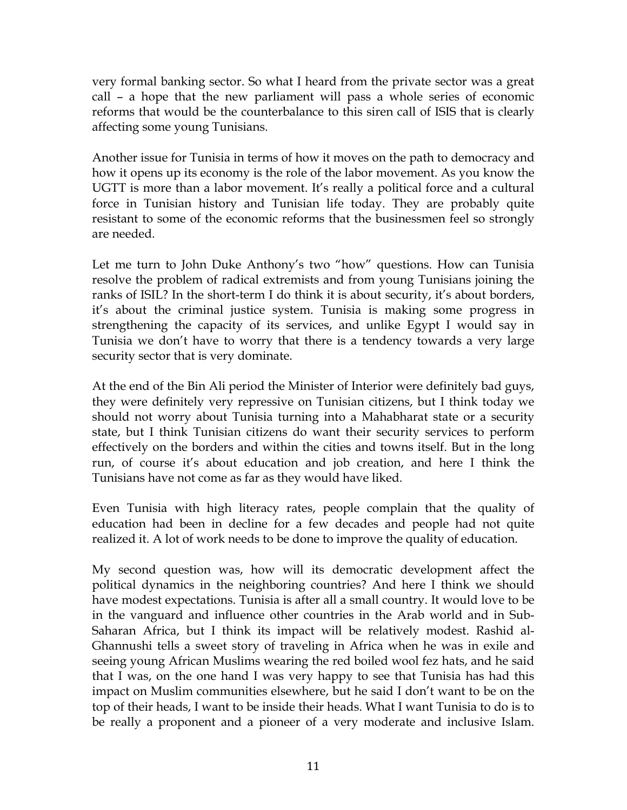very formal banking sector. So what I heard from the private sector was a great call – a hope that the new parliament will pass a whole series of economic reforms that would be the counterbalance to this siren call of ISIS that is clearly affecting some young Tunisians.

Another issue for Tunisia in terms of how it moves on the path to democracy and how it opens up its economy is the role of the labor movement. As you know the UGTT is more than a labor movement. It's really a political force and a cultural force in Tunisian history and Tunisian life today. They are probably quite resistant to some of the economic reforms that the businessmen feel so strongly are needed.

Let me turn to John Duke Anthony's two "how" questions. How can Tunisia resolve the problem of radical extremists and from young Tunisians joining the ranks of ISIL? In the short-term I do think it is about security, it's about borders, it's about the criminal justice system. Tunisia is making some progress in strengthening the capacity of its services, and unlike Egypt I would say in Tunisia we don't have to worry that there is a tendency towards a very large security sector that is very dominate.

At the end of the Bin Ali period the Minister of Interior were definitely bad guys, they were definitely very repressive on Tunisian citizens, but I think today we should not worry about Tunisia turning into a Mahabharat state or a security state, but I think Tunisian citizens do want their security services to perform effectively on the borders and within the cities and towns itself. But in the long run, of course it's about education and job creation, and here I think the Tunisians have not come as far as they would have liked.

Even Tunisia with high literacy rates, people complain that the quality of education had been in decline for a few decades and people had not quite realized it. A lot of work needs to be done to improve the quality of education.

My second question was, how will its democratic development affect the political dynamics in the neighboring countries? And here I think we should have modest expectations. Tunisia is after all a small country. It would love to be in the vanguard and influence other countries in the Arab world and in Sub-Saharan Africa, but I think its impact will be relatively modest. Rashid al-Ghannushi tells a sweet story of traveling in Africa when he was in exile and seeing young African Muslims wearing the red boiled wool fez hats, and he said that I was, on the one hand I was very happy to see that Tunisia has had this impact on Muslim communities elsewhere, but he said I don't want to be on the top of their heads, I want to be inside their heads. What I want Tunisia to do is to be really a proponent and a pioneer of a very moderate and inclusive Islam.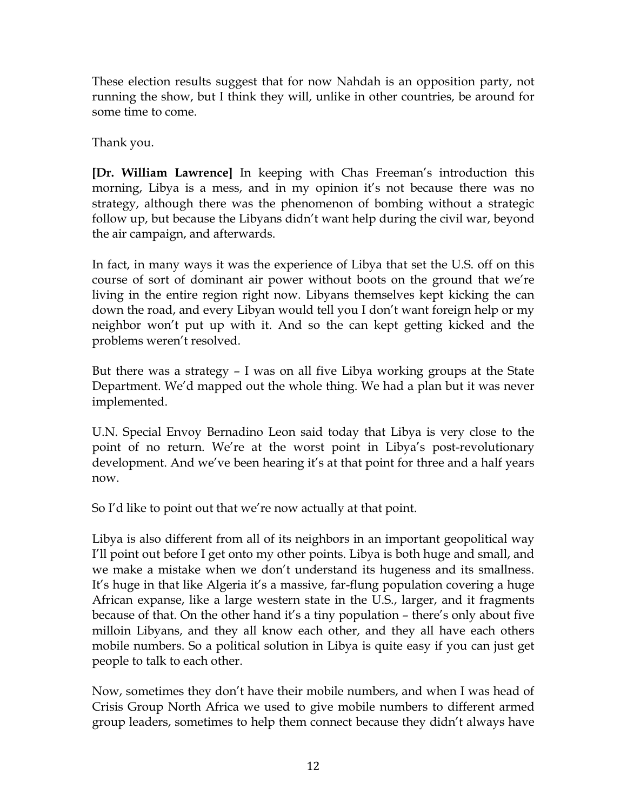These election results suggest that for now Nahdah is an opposition party, not running the show, but I think they will, unlike in other countries, be around for some time to come.

Thank you.

**[Dr. William Lawrence]** In keeping with Chas Freeman's introduction this morning, Libya is a mess, and in my opinion it's not because there was no strategy, although there was the phenomenon of bombing without a strategic follow up, but because the Libyans didn't want help during the civil war, beyond the air campaign, and afterwards.

In fact, in many ways it was the experience of Libya that set the U.S. off on this course of sort of dominant air power without boots on the ground that we're living in the entire region right now. Libyans themselves kept kicking the can down the road, and every Libyan would tell you I don't want foreign help or my neighbor won't put up with it. And so the can kept getting kicked and the problems weren't resolved.

But there was a strategy – I was on all five Libya working groups at the State Department. We'd mapped out the whole thing. We had a plan but it was never implemented.

U.N. Special Envoy Bernadino Leon said today that Libya is very close to the point of no return. We're at the worst point in Libya's post-revolutionary development. And we've been hearing it's at that point for three and a half years now.

So I'd like to point out that we're now actually at that point.

Libya is also different from all of its neighbors in an important geopolitical way I'll point out before I get onto my other points. Libya is both huge and small, and we make a mistake when we don't understand its hugeness and its smallness. It's huge in that like Algeria it's a massive, far-flung population covering a huge African expanse, like a large western state in the U.S., larger, and it fragments because of that. On the other hand it's a tiny population – there's only about five milloin Libyans, and they all know each other, and they all have each others mobile numbers. So a political solution in Libya is quite easy if you can just get people to talk to each other.

Now, sometimes they don't have their mobile numbers, and when I was head of Crisis Group North Africa we used to give mobile numbers to different armed group leaders, sometimes to help them connect because they didn't always have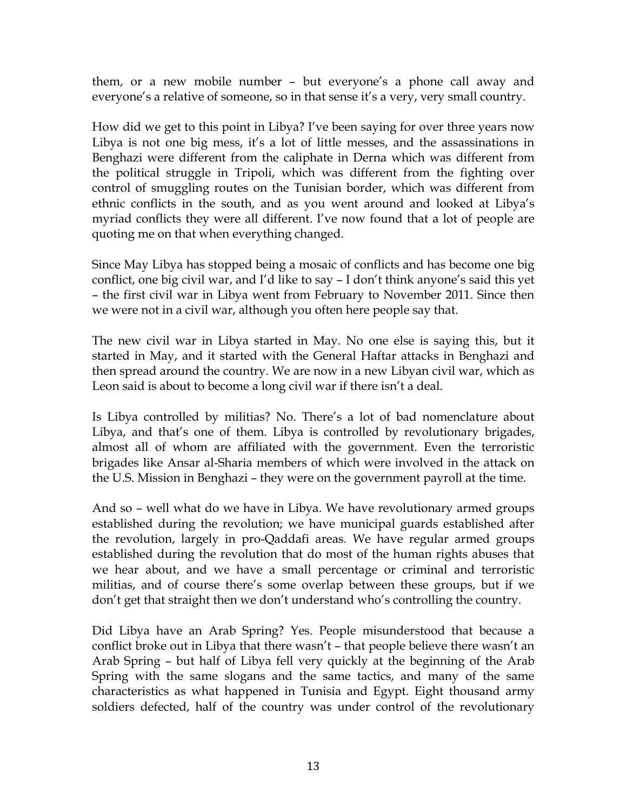them, or a new mobile number – but everyone's a phone call away and everyone's a relative of someone, so in that sense it's a very, very small country.

How did we get to this point in Libya? I've been saying for over three years now Libya is not one big mess, it's a lot of little messes, and the assassinations in Benghazi were different from the caliphate in Derna which was different from the political struggle in Tripoli, which was different from the fighting over control of smuggling routes on the Tunisian border, which was different from ethnic conflicts in the south, and as you went around and looked at Libya's myriad conflicts they were all different. I've now found that a lot of people are quoting me on that when everything changed.

Since May Libya has stopped being a mosaic of conflicts and has become one big conflict, one big civil war, and I'd like to say – I don't think anyone's said this yet – the first civil war in Libya went from February to November 2011. Since then we were not in a civil war, although you often here people say that.

The new civil war in Libya started in May. No one else is saying this, but it started in May, and it started with the General Haftar attacks in Benghazi and then spread around the country. We are now in a new Libyan civil war, which as Leon said is about to become a long civil war if there isn't a deal.

Is Libya controlled by militias? No. There's a lot of bad nomenclature about Libya, and that's one of them. Libya is controlled by revolutionary brigades, almost all of whom are affiliated with the government. Even the terroristic brigades like Ansar al-Sharia members of which were involved in the attack on the U.S. Mission in Benghazi – they were on the government payroll at the time.

And so – well what do we have in Libya. We have revolutionary armed groups established during the revolution; we have municipal guards established after the revolution, largely in pro-Qaddafi areas. We have regular armed groups established during the revolution that do most of the human rights abuses that we hear about, and we have a small percentage or criminal and terroristic militias, and of course there's some overlap between these groups, but if we don't get that straight then we don't understand who's controlling the country.

Did Libya have an Arab Spring? Yes. People misunderstood that because a conflict broke out in Libya that there wasn't – that people believe there wasn't an Arab Spring – but half of Libya fell very quickly at the beginning of the Arab Spring with the same slogans and the same tactics, and many of the same characteristics as what happened in Tunisia and Egypt. Eight thousand army soldiers defected, half of the country was under control of the revolutionary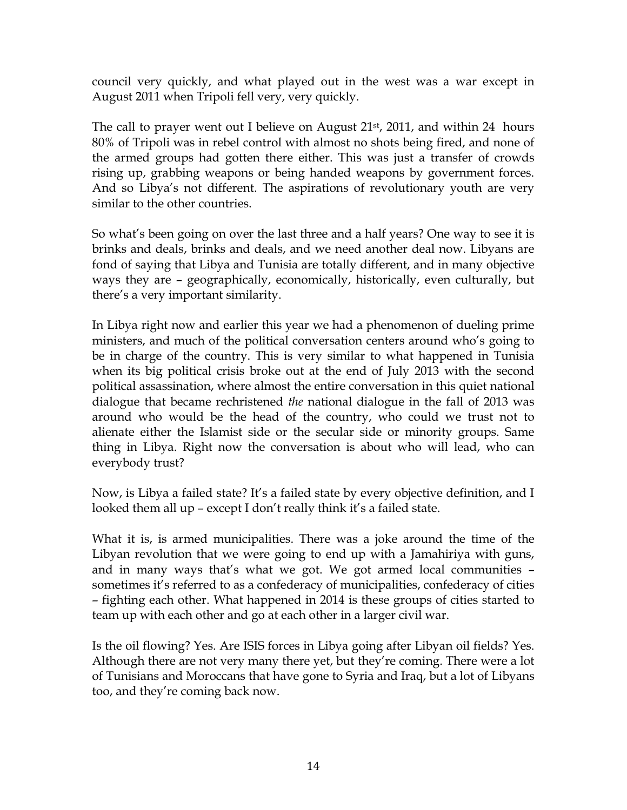council very quickly, and what played out in the west was a war except in August 2011 when Tripoli fell very, very quickly.

The call to prayer went out I believe on August 21<sup>st</sup>, 2011, and within 24 hours 80% of Tripoli was in rebel control with almost no shots being fired, and none of the armed groups had gotten there either. This was just a transfer of crowds rising up, grabbing weapons or being handed weapons by government forces. And so Libya's not different. The aspirations of revolutionary youth are very similar to the other countries.

So what's been going on over the last three and a half years? One way to see it is brinks and deals, brinks and deals, and we need another deal now. Libyans are fond of saying that Libya and Tunisia are totally different, and in many objective ways they are – geographically, economically, historically, even culturally, but there's a very important similarity.

In Libya right now and earlier this year we had a phenomenon of dueling prime ministers, and much of the political conversation centers around who's going to be in charge of the country. This is very similar to what happened in Tunisia when its big political crisis broke out at the end of July 2013 with the second political assassination, where almost the entire conversation in this quiet national dialogue that became rechristened *the* national dialogue in the fall of 2013 was around who would be the head of the country, who could we trust not to alienate either the Islamist side or the secular side or minority groups. Same thing in Libya. Right now the conversation is about who will lead, who can everybody trust?

Now, is Libya a failed state? It's a failed state by every objective definition, and I looked them all up – except I don't really think it's a failed state.

What it is, is armed municipalities. There was a joke around the time of the Libyan revolution that we were going to end up with a Jamahiriya with guns, and in many ways that's what we got. We got armed local communities – sometimes it's referred to as a confederacy of municipalities, confederacy of cities – fighting each other. What happened in 2014 is these groups of cities started to team up with each other and go at each other in a larger civil war.

Is the oil flowing? Yes. Are ISIS forces in Libya going after Libyan oil fields? Yes. Although there are not very many there yet, but they're coming. There were a lot of Tunisians and Moroccans that have gone to Syria and Iraq, but a lot of Libyans too, and they're coming back now.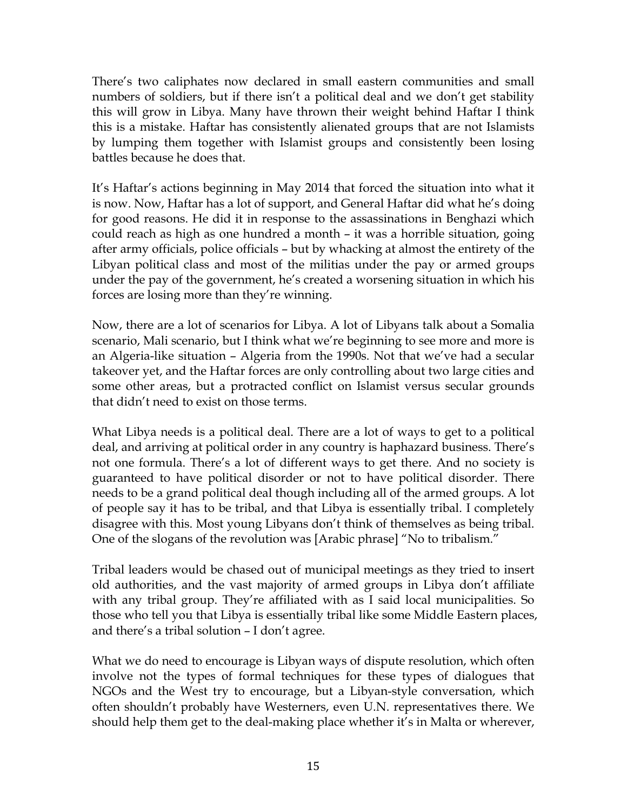There's two caliphates now declared in small eastern communities and small numbers of soldiers, but if there isn't a political deal and we don't get stability this will grow in Libya. Many have thrown their weight behind Haftar I think this is a mistake. Haftar has consistently alienated groups that are not Islamists by lumping them together with Islamist groups and consistently been losing battles because he does that.

It's Haftar's actions beginning in May 2014 that forced the situation into what it is now. Now, Haftar has a lot of support, and General Haftar did what he's doing for good reasons. He did it in response to the assassinations in Benghazi which could reach as high as one hundred a month – it was a horrible situation, going after army officials, police officials – but by whacking at almost the entirety of the Libyan political class and most of the militias under the pay or armed groups under the pay of the government, he's created a worsening situation in which his forces are losing more than they're winning.

Now, there are a lot of scenarios for Libya. A lot of Libyans talk about a Somalia scenario, Mali scenario, but I think what we're beginning to see more and more is an Algeria-like situation – Algeria from the 1990s. Not that we've had a secular takeover yet, and the Haftar forces are only controlling about two large cities and some other areas, but a protracted conflict on Islamist versus secular grounds that didn't need to exist on those terms.

What Libya needs is a political deal. There are a lot of ways to get to a political deal, and arriving at political order in any country is haphazard business. There's not one formula. There's a lot of different ways to get there. And no society is guaranteed to have political disorder or not to have political disorder. There needs to be a grand political deal though including all of the armed groups. A lot of people say it has to be tribal, and that Libya is essentially tribal. I completely disagree with this. Most young Libyans don't think of themselves as being tribal. One of the slogans of the revolution was [Arabic phrase] "No to tribalism."

Tribal leaders would be chased out of municipal meetings as they tried to insert old authorities, and the vast majority of armed groups in Libya don't affiliate with any tribal group. They're affiliated with as I said local municipalities. So those who tell you that Libya is essentially tribal like some Middle Eastern places, and there's a tribal solution – I don't agree.

What we do need to encourage is Libyan ways of dispute resolution, which often involve not the types of formal techniques for these types of dialogues that NGOs and the West try to encourage, but a Libyan-style conversation, which often shouldn't probably have Westerners, even U.N. representatives there. We should help them get to the deal-making place whether it's in Malta or wherever,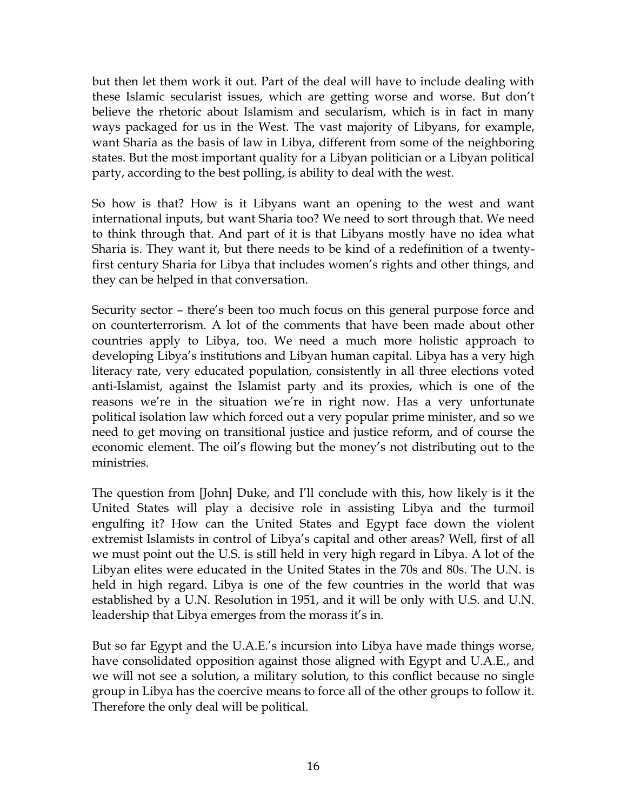but then let them work it out. Part of the deal will have to include dealing with these Islamic secularist issues, which are getting worse and worse. But don't believe the rhetoric about Islamism and secularism, which is in fact in many ways packaged for us in the West. The vast majority of Libyans, for example, want Sharia as the basis of law in Libya, different from some of the neighboring states. But the most important quality for a Libyan politician or a Libyan political party, according to the best polling, is ability to deal with the west.

So how is that? How is it Libyans want an opening to the west and want international inputs, but want Sharia too? We need to sort through that. We need to think through that. And part of it is that Libyans mostly have no idea what Sharia is. They want it, but there needs to be kind of a redefinition of a twentyfirst century Sharia for Libya that includes women's rights and other things, and they can be helped in that conversation.

Security sector – there's been too much focus on this general purpose force and on counterterrorism. A lot of the comments that have been made about other countries apply to Libya, too. We need a much more holistic approach to developing Libya's institutions and Libyan human capital. Libya has a very high literacy rate, very educated population, consistently in all three elections voted anti-Islamist, against the Islamist party and its proxies, which is one of the reasons we're in the situation we're in right now. Has a very unfortunate political isolation law which forced out a very popular prime minister, and so we need to get moving on transitional justice and justice reform, and of course the economic element. The oil's flowing but the money's not distributing out to the ministries.

The question from [John] Duke, and I'll conclude with this, how likely is it the United States will play a decisive role in assisting Libya and the turmoil engulfing it? How can the United States and Egypt face down the violent extremist Islamists in control of Libya's capital and other areas? Well, first of all we must point out the U.S. is still held in very high regard in Libya. A lot of the Libyan elites were educated in the United States in the 70s and 80s. The U.N. is held in high regard. Libya is one of the few countries in the world that was established by a U.N. Resolution in 1951, and it will be only with U.S. and U.N. leadership that Libya emerges from the morass it's in.

But so far Egypt and the U.A.E.'s incursion into Libya have made things worse, have consolidated opposition against those aligned with Egypt and U.A.E., and we will not see a solution, a military solution, to this conflict because no single group in Libya has the coercive means to force all of the other groups to follow it. Therefore the only deal will be political.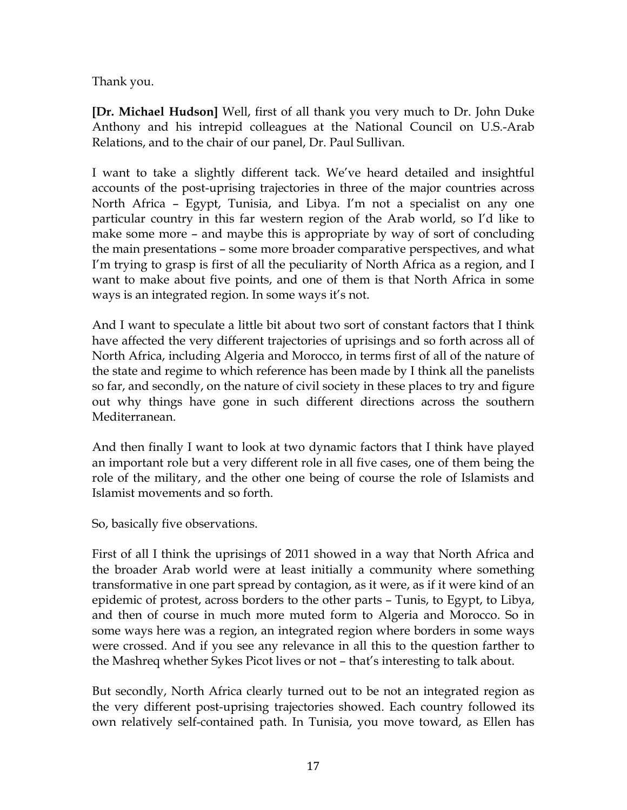Thank you.

**[Dr. Michael Hudson]** Well, first of all thank you very much to Dr. John Duke Anthony and his intrepid colleagues at the National Council on U.S.-Arab Relations, and to the chair of our panel, Dr. Paul Sullivan.

I want to take a slightly different tack. We've heard detailed and insightful accounts of the post-uprising trajectories in three of the major countries across North Africa – Egypt, Tunisia, and Libya. I'm not a specialist on any one particular country in this far western region of the Arab world, so I'd like to make some more – and maybe this is appropriate by way of sort of concluding the main presentations – some more broader comparative perspectives, and what I'm trying to grasp is first of all the peculiarity of North Africa as a region, and I want to make about five points, and one of them is that North Africa in some ways is an integrated region. In some ways it's not.

And I want to speculate a little bit about two sort of constant factors that I think have affected the very different trajectories of uprisings and so forth across all of North Africa, including Algeria and Morocco, in terms first of all of the nature of the state and regime to which reference has been made by I think all the panelists so far, and secondly, on the nature of civil society in these places to try and figure out why things have gone in such different directions across the southern Mediterranean.

And then finally I want to look at two dynamic factors that I think have played an important role but a very different role in all five cases, one of them being the role of the military, and the other one being of course the role of Islamists and Islamist movements and so forth.

So, basically five observations.

First of all I think the uprisings of 2011 showed in a way that North Africa and the broader Arab world were at least initially a community where something transformative in one part spread by contagion, as it were, as if it were kind of an epidemic of protest, across borders to the other parts – Tunis, to Egypt, to Libya, and then of course in much more muted form to Algeria and Morocco. So in some ways here was a region, an integrated region where borders in some ways were crossed. And if you see any relevance in all this to the question farther to the Mashreq whether Sykes Picot lives or not – that's interesting to talk about.

But secondly, North Africa clearly turned out to be not an integrated region as the very different post-uprising trajectories showed. Each country followed its own relatively self-contained path. In Tunisia, you move toward, as Ellen has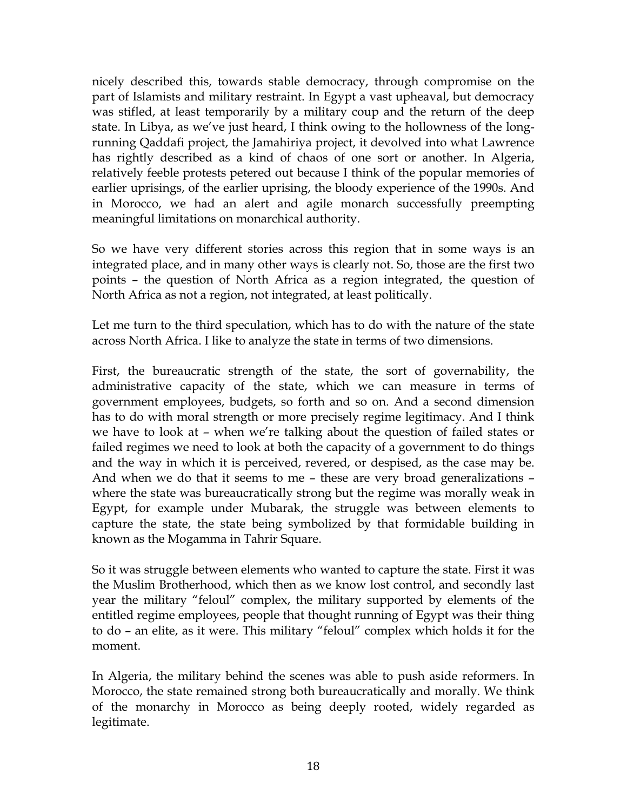nicely described this, towards stable democracy, through compromise on the part of Islamists and military restraint. In Egypt a vast upheaval, but democracy was stifled, at least temporarily by a military coup and the return of the deep state. In Libya, as we've just heard, I think owing to the hollowness of the longrunning Qaddafi project, the Jamahiriya project, it devolved into what Lawrence has rightly described as a kind of chaos of one sort or another. In Algeria, relatively feeble protests petered out because I think of the popular memories of earlier uprisings, of the earlier uprising, the bloody experience of the 1990s. And in Morocco, we had an alert and agile monarch successfully preempting meaningful limitations on monarchical authority.

So we have very different stories across this region that in some ways is an integrated place, and in many other ways is clearly not. So, those are the first two points – the question of North Africa as a region integrated, the question of North Africa as not a region, not integrated, at least politically.

Let me turn to the third speculation, which has to do with the nature of the state across North Africa. I like to analyze the state in terms of two dimensions.

First, the bureaucratic strength of the state, the sort of governability, the administrative capacity of the state, which we can measure in terms of government employees, budgets, so forth and so on. And a second dimension has to do with moral strength or more precisely regime legitimacy. And I think we have to look at – when we're talking about the question of failed states or failed regimes we need to look at both the capacity of a government to do things and the way in which it is perceived, revered, or despised, as the case may be. And when we do that it seems to me – these are very broad generalizations – where the state was bureaucratically strong but the regime was morally weak in Egypt, for example under Mubarak, the struggle was between elements to capture the state, the state being symbolized by that formidable building in known as the Mogamma in Tahrir Square.

So it was struggle between elements who wanted to capture the state. First it was the Muslim Brotherhood, which then as we know lost control, and secondly last year the military "feloul" complex, the military supported by elements of the entitled regime employees, people that thought running of Egypt was their thing to do – an elite, as it were. This military "feloul" complex which holds it for the moment.

In Algeria, the military behind the scenes was able to push aside reformers. In Morocco, the state remained strong both bureaucratically and morally. We think of the monarchy in Morocco as being deeply rooted, widely regarded as legitimate.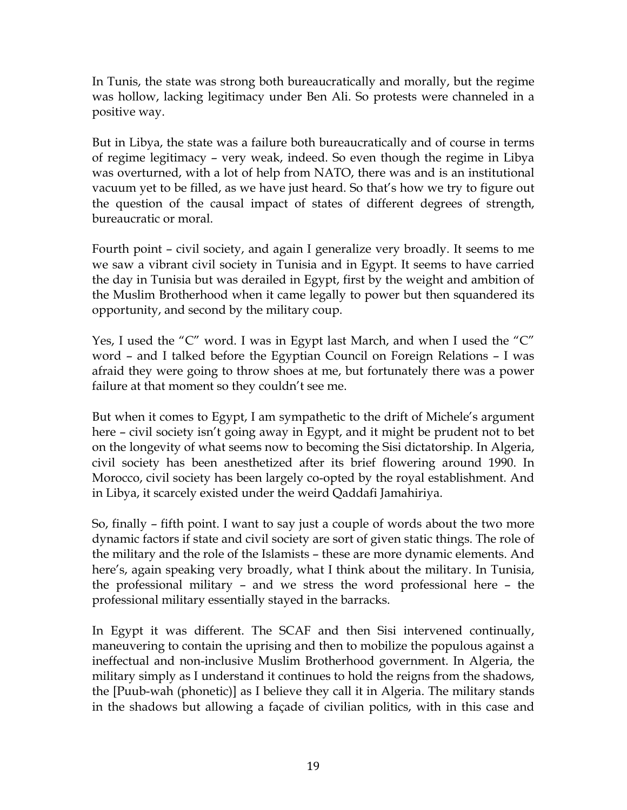In Tunis, the state was strong both bureaucratically and morally, but the regime was hollow, lacking legitimacy under Ben Ali. So protests were channeled in a positive way.

But in Libya, the state was a failure both bureaucratically and of course in terms of regime legitimacy – very weak, indeed. So even though the regime in Libya was overturned, with a lot of help from NATO, there was and is an institutional vacuum yet to be filled, as we have just heard. So that's how we try to figure out the question of the causal impact of states of different degrees of strength, bureaucratic or moral.

Fourth point – civil society, and again I generalize very broadly. It seems to me we saw a vibrant civil society in Tunisia and in Egypt. It seems to have carried the day in Tunisia but was derailed in Egypt, first by the weight and ambition of the Muslim Brotherhood when it came legally to power but then squandered its opportunity, and second by the military coup.

Yes, I used the "C" word. I was in Egypt last March, and when I used the "C" word – and I talked before the Egyptian Council on Foreign Relations – I was afraid they were going to throw shoes at me, but fortunately there was a power failure at that moment so they couldn't see me.

But when it comes to Egypt, I am sympathetic to the drift of Michele's argument here – civil society isn't going away in Egypt, and it might be prudent not to bet on the longevity of what seems now to becoming the Sisi dictatorship. In Algeria, civil society has been anesthetized after its brief flowering around 1990. In Morocco, civil society has been largely co-opted by the royal establishment. And in Libya, it scarcely existed under the weird Qaddafi Jamahiriya.

So, finally – fifth point. I want to say just a couple of words about the two more dynamic factors if state and civil society are sort of given static things. The role of the military and the role of the Islamists – these are more dynamic elements. And here's, again speaking very broadly, what I think about the military. In Tunisia, the professional military – and we stress the word professional here – the professional military essentially stayed in the barracks.

In Egypt it was different. The SCAF and then Sisi intervened continually, maneuvering to contain the uprising and then to mobilize the populous against a ineffectual and non-inclusive Muslim Brotherhood government. In Algeria, the military simply as I understand it continues to hold the reigns from the shadows, the [Puub-wah (phonetic)] as I believe they call it in Algeria. The military stands in the shadows but allowing a façade of civilian politics, with in this case and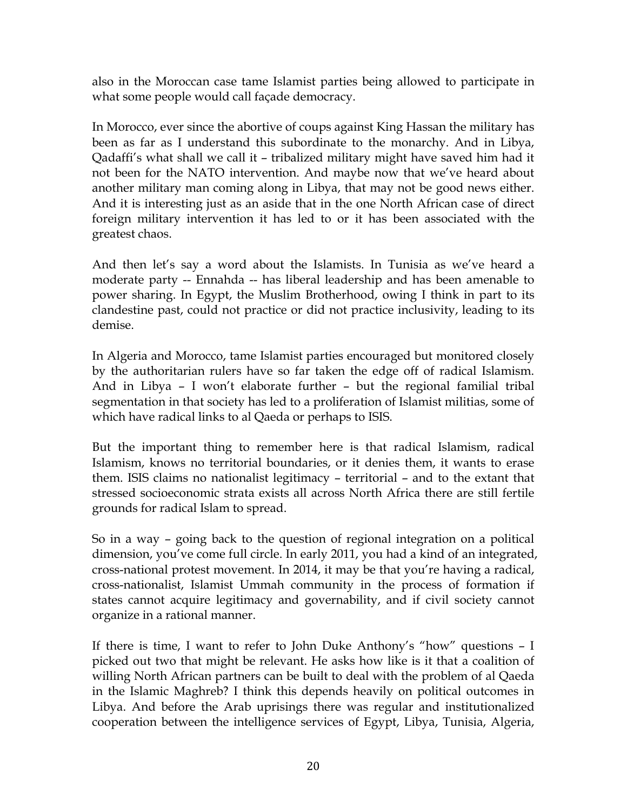also in the Moroccan case tame Islamist parties being allowed to participate in what some people would call façade democracy.

In Morocco, ever since the abortive of coups against King Hassan the military has been as far as I understand this subordinate to the monarchy. And in Libya, Qadaffi's what shall we call it – tribalized military might have saved him had it not been for the NATO intervention. And maybe now that we've heard about another military man coming along in Libya, that may not be good news either. And it is interesting just as an aside that in the one North African case of direct foreign military intervention it has led to or it has been associated with the greatest chaos.

And then let's say a word about the Islamists. In Tunisia as we've heard a moderate party -- Ennahda -- has liberal leadership and has been amenable to power sharing. In Egypt, the Muslim Brotherhood, owing I think in part to its clandestine past, could not practice or did not practice inclusivity, leading to its demise.

In Algeria and Morocco, tame Islamist parties encouraged but monitored closely by the authoritarian rulers have so far taken the edge off of radical Islamism. And in Libya – I won't elaborate further – but the regional familial tribal segmentation in that society has led to a proliferation of Islamist militias, some of which have radical links to al Qaeda or perhaps to ISIS.

But the important thing to remember here is that radical Islamism, radical Islamism, knows no territorial boundaries, or it denies them, it wants to erase them. ISIS claims no nationalist legitimacy – territorial – and to the extant that stressed socioeconomic strata exists all across North Africa there are still fertile grounds for radical Islam to spread.

So in a way – going back to the question of regional integration on a political dimension, you've come full circle. In early 2011, you had a kind of an integrated, cross-national protest movement. In 2014, it may be that you're having a radical, cross-nationalist, Islamist Ummah community in the process of formation if states cannot acquire legitimacy and governability, and if civil society cannot organize in a rational manner.

If there is time, I want to refer to John Duke Anthony's "how" questions – I picked out two that might be relevant. He asks how like is it that a coalition of willing North African partners can be built to deal with the problem of al Qaeda in the Islamic Maghreb? I think this depends heavily on political outcomes in Libya. And before the Arab uprisings there was regular and institutionalized cooperation between the intelligence services of Egypt, Libya, Tunisia, Algeria,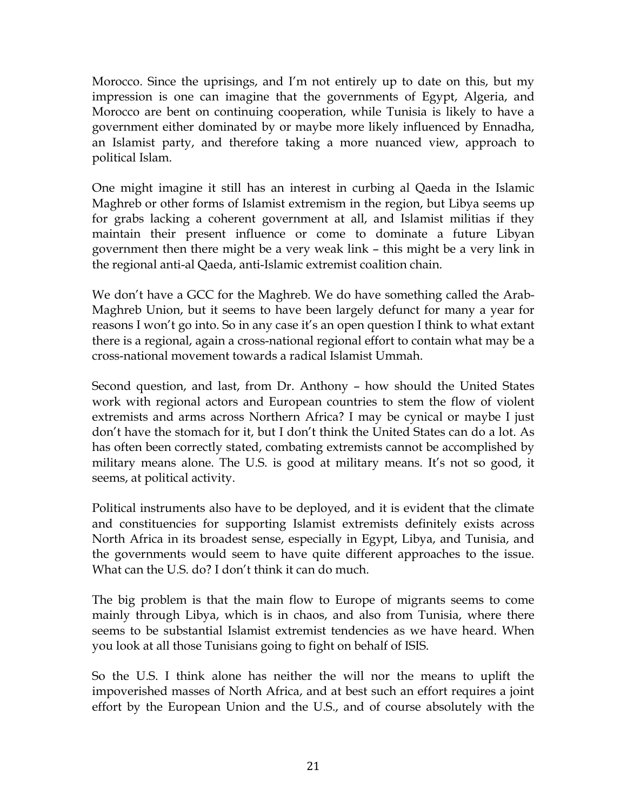Morocco. Since the uprisings, and I'm not entirely up to date on this, but my impression is one can imagine that the governments of Egypt, Algeria, and Morocco are bent on continuing cooperation, while Tunisia is likely to have a government either dominated by or maybe more likely influenced by Ennadha, an Islamist party, and therefore taking a more nuanced view, approach to political Islam.

One might imagine it still has an interest in curbing al Qaeda in the Islamic Maghreb or other forms of Islamist extremism in the region, but Libya seems up for grabs lacking a coherent government at all, and Islamist militias if they maintain their present influence or come to dominate a future Libyan government then there might be a very weak link – this might be a very link in the regional anti-al Qaeda, anti-Islamic extremist coalition chain.

We don't have a GCC for the Maghreb. We do have something called the Arab-Maghreb Union, but it seems to have been largely defunct for many a year for reasons I won't go into. So in any case it's an open question I think to what extant there is a regional, again a cross-national regional effort to contain what may be a cross-national movement towards a radical Islamist Ummah.

Second question, and last, from Dr. Anthony – how should the United States work with regional actors and European countries to stem the flow of violent extremists and arms across Northern Africa? I may be cynical or maybe I just don't have the stomach for it, but I don't think the United States can do a lot. As has often been correctly stated, combating extremists cannot be accomplished by military means alone. The U.S. is good at military means. It's not so good, it seems, at political activity.

Political instruments also have to be deployed, and it is evident that the climate and constituencies for supporting Islamist extremists definitely exists across North Africa in its broadest sense, especially in Egypt, Libya, and Tunisia, and the governments would seem to have quite different approaches to the issue. What can the U.S. do? I don't think it can do much.

The big problem is that the main flow to Europe of migrants seems to come mainly through Libya, which is in chaos, and also from Tunisia, where there seems to be substantial Islamist extremist tendencies as we have heard. When you look at all those Tunisians going to fight on behalf of ISIS.

So the U.S. I think alone has neither the will nor the means to uplift the impoverished masses of North Africa, and at best such an effort requires a joint effort by the European Union and the U.S., and of course absolutely with the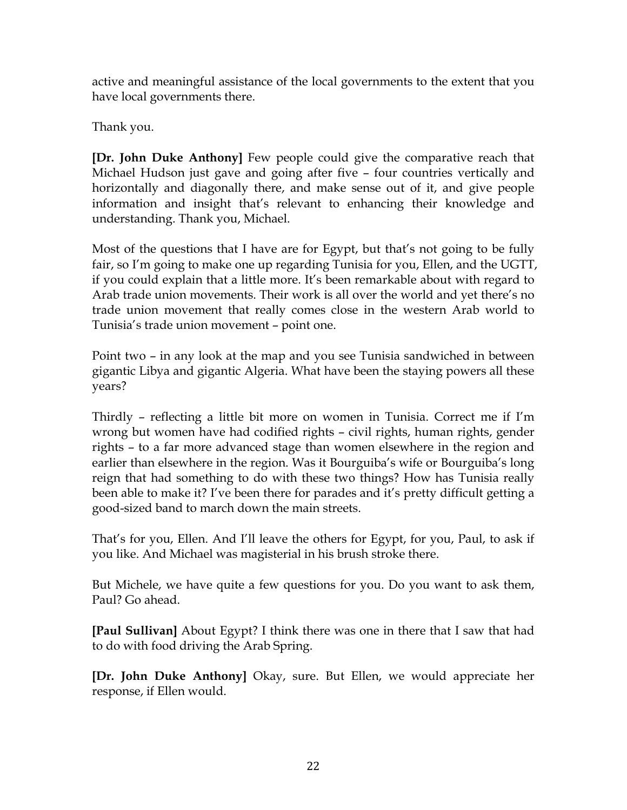active and meaningful assistance of the local governments to the extent that you have local governments there.

Thank you.

**[Dr. John Duke Anthony]** Few people could give the comparative reach that Michael Hudson just gave and going after five – four countries vertically and horizontally and diagonally there, and make sense out of it, and give people information and insight that's relevant to enhancing their knowledge and understanding. Thank you, Michael.

Most of the questions that I have are for Egypt, but that's not going to be fully fair, so I'm going to make one up regarding Tunisia for you, Ellen, and the UGTT, if you could explain that a little more. It's been remarkable about with regard to Arab trade union movements. Their work is all over the world and yet there's no trade union movement that really comes close in the western Arab world to Tunisia's trade union movement – point one.

Point two – in any look at the map and you see Tunisia sandwiched in between gigantic Libya and gigantic Algeria. What have been the staying powers all these years?

Thirdly – reflecting a little bit more on women in Tunisia. Correct me if I'm wrong but women have had codified rights – civil rights, human rights, gender rights – to a far more advanced stage than women elsewhere in the region and earlier than elsewhere in the region. Was it Bourguiba's wife or Bourguiba's long reign that had something to do with these two things? How has Tunisia really been able to make it? I've been there for parades and it's pretty difficult getting a good-sized band to march down the main streets.

That's for you, Ellen. And I'll leave the others for Egypt, for you, Paul, to ask if you like. And Michael was magisterial in his brush stroke there.

But Michele, we have quite a few questions for you. Do you want to ask them, Paul? Go ahead.

**[Paul Sullivan]** About Egypt? I think there was one in there that I saw that had to do with food driving the Arab Spring.

**[Dr. John Duke Anthony]** Okay, sure. But Ellen, we would appreciate her response, if Ellen would.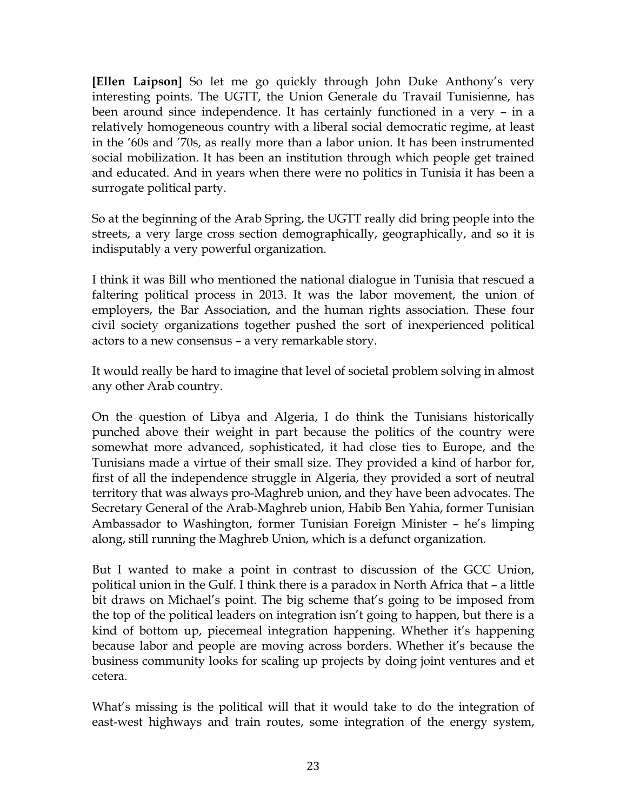**[Ellen Laipson]** So let me go quickly through John Duke Anthony's very interesting points. The UGTT, the Union Generale du Travail Tunisienne, has been around since independence. It has certainly functioned in a very – in a relatively homogeneous country with a liberal social democratic regime, at least in the '60s and '70s, as really more than a labor union. It has been instrumented social mobilization. It has been an institution through which people get trained and educated. And in years when there were no politics in Tunisia it has been a surrogate political party.

So at the beginning of the Arab Spring, the UGTT really did bring people into the streets, a very large cross section demographically, geographically, and so it is indisputably a very powerful organization.

I think it was Bill who mentioned the national dialogue in Tunisia that rescued a faltering political process in 2013. It was the labor movement, the union of employers, the Bar Association, and the human rights association. These four civil society organizations together pushed the sort of inexperienced political actors to a new consensus – a very remarkable story.

It would really be hard to imagine that level of societal problem solving in almost any other Arab country.

On the question of Libya and Algeria, I do think the Tunisians historically punched above their weight in part because the politics of the country were somewhat more advanced, sophisticated, it had close ties to Europe, and the Tunisians made a virtue of their small size. They provided a kind of harbor for, first of all the independence struggle in Algeria, they provided a sort of neutral territory that was always pro-Maghreb union, and they have been advocates. The Secretary General of the Arab-Maghreb union, Habib Ben Yahia, former Tunisian Ambassador to Washington, former Tunisian Foreign Minister – he's limping along, still running the Maghreb Union, which is a defunct organization.

But I wanted to make a point in contrast to discussion of the GCC Union, political union in the Gulf. I think there is a paradox in North Africa that – a little bit draws on Michael's point. The big scheme that's going to be imposed from the top of the political leaders on integration isn't going to happen, but there is a kind of bottom up, piecemeal integration happening. Whether it's happening because labor and people are moving across borders. Whether it's because the business community looks for scaling up projects by doing joint ventures and et cetera.

What's missing is the political will that it would take to do the integration of east-west highways and train routes, some integration of the energy system,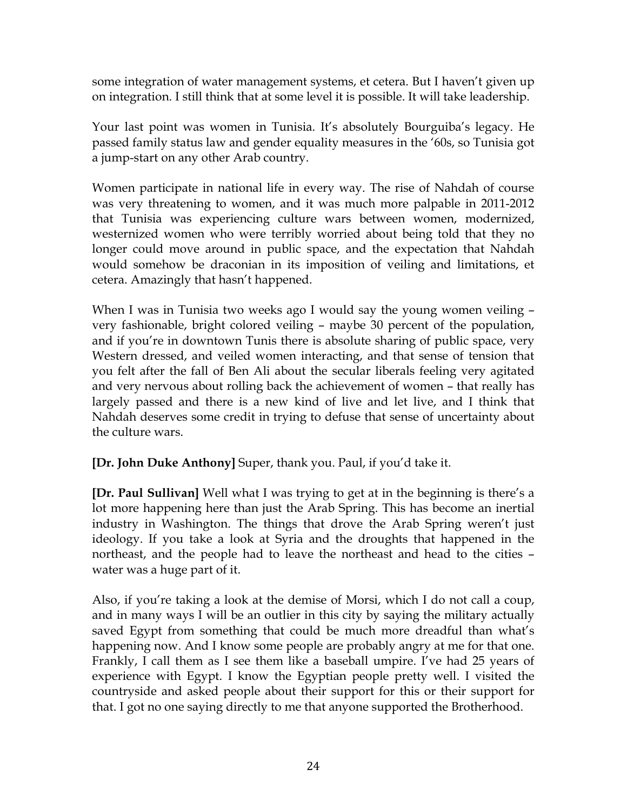some integration of water management systems, et cetera. But I haven't given up on integration. I still think that at some level it is possible. It will take leadership.

Your last point was women in Tunisia. It's absolutely Bourguiba's legacy. He passed family status law and gender equality measures in the '60s, so Tunisia got a jump-start on any other Arab country.

Women participate in national life in every way. The rise of Nahdah of course was very threatening to women, and it was much more palpable in 2011-2012 that Tunisia was experiencing culture wars between women, modernized, westernized women who were terribly worried about being told that they no longer could move around in public space, and the expectation that Nahdah would somehow be draconian in its imposition of veiling and limitations, et cetera. Amazingly that hasn't happened.

When I was in Tunisia two weeks ago I would say the young women veiling – very fashionable, bright colored veiling – maybe 30 percent of the population, and if you're in downtown Tunis there is absolute sharing of public space, very Western dressed, and veiled women interacting, and that sense of tension that you felt after the fall of Ben Ali about the secular liberals feeling very agitated and very nervous about rolling back the achievement of women – that really has largely passed and there is a new kind of live and let live, and I think that Nahdah deserves some credit in trying to defuse that sense of uncertainty about the culture wars.

**[Dr. John Duke Anthony]** Super, thank you. Paul, if you'd take it.

**[Dr. Paul Sullivan]** Well what I was trying to get at in the beginning is there's a lot more happening here than just the Arab Spring. This has become an inertial industry in Washington. The things that drove the Arab Spring weren't just ideology. If you take a look at Syria and the droughts that happened in the northeast, and the people had to leave the northeast and head to the cities – water was a huge part of it.

Also, if you're taking a look at the demise of Morsi, which I do not call a coup, and in many ways I will be an outlier in this city by saying the military actually saved Egypt from something that could be much more dreadful than what's happening now. And I know some people are probably angry at me for that one. Frankly, I call them as I see them like a baseball umpire. I've had 25 years of experience with Egypt. I know the Egyptian people pretty well. I visited the countryside and asked people about their support for this or their support for that. I got no one saying directly to me that anyone supported the Brotherhood.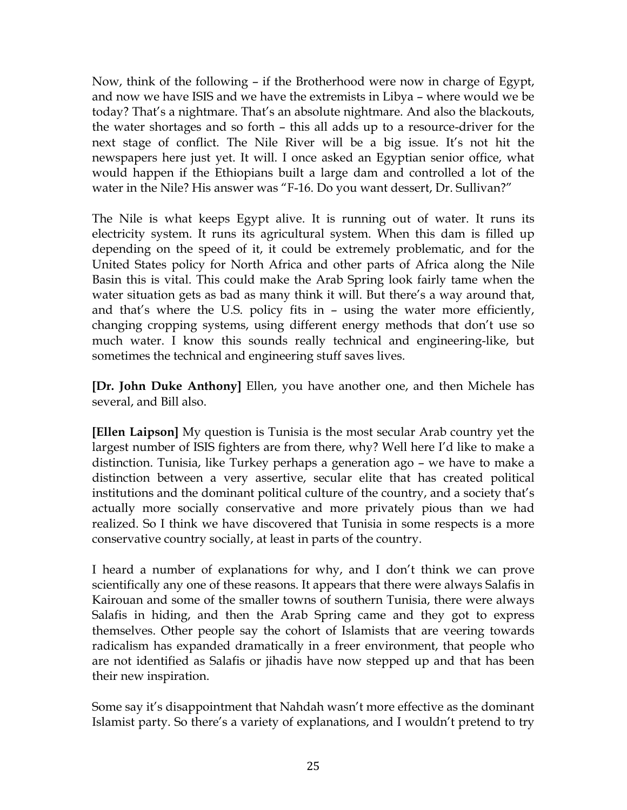Now, think of the following – if the Brotherhood were now in charge of Egypt, and now we have ISIS and we have the extremists in Libya – where would we be today? That's a nightmare. That's an absolute nightmare. And also the blackouts, the water shortages and so forth – this all adds up to a resource-driver for the next stage of conflict. The Nile River will be a big issue. It's not hit the newspapers here just yet. It will. I once asked an Egyptian senior office, what would happen if the Ethiopians built a large dam and controlled a lot of the water in the Nile? His answer was "F-16. Do you want dessert, Dr. Sullivan?"

The Nile is what keeps Egypt alive. It is running out of water. It runs its electricity system. It runs its agricultural system. When this dam is filled up depending on the speed of it, it could be extremely problematic, and for the United States policy for North Africa and other parts of Africa along the Nile Basin this is vital. This could make the Arab Spring look fairly tame when the water situation gets as bad as many think it will. But there's a way around that, and that's where the U.S. policy fits in – using the water more efficiently, changing cropping systems, using different energy methods that don't use so much water. I know this sounds really technical and engineering-like, but sometimes the technical and engineering stuff saves lives.

**[Dr. John Duke Anthony]** Ellen, you have another one, and then Michele has several, and Bill also.

**[Ellen Laipson]** My question is Tunisia is the most secular Arab country yet the largest number of ISIS fighters are from there, why? Well here I'd like to make a distinction. Tunisia, like Turkey perhaps a generation ago – we have to make a distinction between a very assertive, secular elite that has created political institutions and the dominant political culture of the country, and a society that's actually more socially conservative and more privately pious than we had realized. So I think we have discovered that Tunisia in some respects is a more conservative country socially, at least in parts of the country.

I heard a number of explanations for why, and I don't think we can prove scientifically any one of these reasons. It appears that there were always Salafis in Kairouan and some of the smaller towns of southern Tunisia, there were always Salafis in hiding, and then the Arab Spring came and they got to express themselves. Other people say the cohort of Islamists that are veering towards radicalism has expanded dramatically in a freer environment, that people who are not identified as Salafis or jihadis have now stepped up and that has been their new inspiration.

Some say it's disappointment that Nahdah wasn't more effective as the dominant Islamist party. So there's a variety of explanations, and I wouldn't pretend to try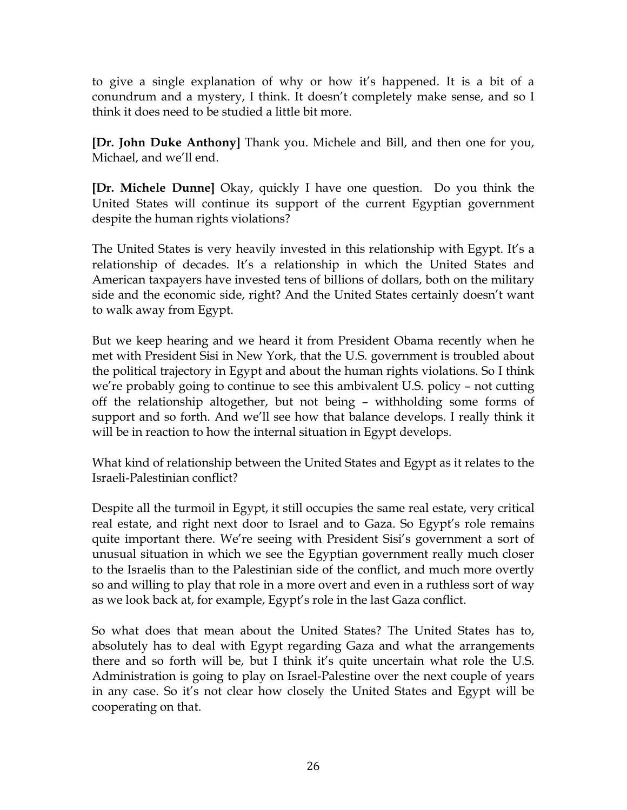to give a single explanation of why or how it's happened. It is a bit of a conundrum and a mystery, I think. It doesn't completely make sense, and so I think it does need to be studied a little bit more.

**[Dr. John Duke Anthony]** Thank you. Michele and Bill, and then one for you, Michael, and we'll end.

**[Dr. Michele Dunne]** Okay, quickly I have one question. Do you think the United States will continue its support of the current Egyptian government despite the human rights violations?

The United States is very heavily invested in this relationship with Egypt. It's a relationship of decades. It's a relationship in which the United States and American taxpayers have invested tens of billions of dollars, both on the military side and the economic side, right? And the United States certainly doesn't want to walk away from Egypt.

But we keep hearing and we heard it from President Obama recently when he met with President Sisi in New York, that the U.S. government is troubled about the political trajectory in Egypt and about the human rights violations. So I think we're probably going to continue to see this ambivalent U.S. policy – not cutting off the relationship altogether, but not being – withholding some forms of support and so forth. And we'll see how that balance develops. I really think it will be in reaction to how the internal situation in Egypt develops.

What kind of relationship between the United States and Egypt as it relates to the Israeli-Palestinian conflict?

Despite all the turmoil in Egypt, it still occupies the same real estate, very critical real estate, and right next door to Israel and to Gaza. So Egypt's role remains quite important there. We're seeing with President Sisi's government a sort of unusual situation in which we see the Egyptian government really much closer to the Israelis than to the Palestinian side of the conflict, and much more overtly so and willing to play that role in a more overt and even in a ruthless sort of way as we look back at, for example, Egypt's role in the last Gaza conflict.

So what does that mean about the United States? The United States has to, absolutely has to deal with Egypt regarding Gaza and what the arrangements there and so forth will be, but I think it's quite uncertain what role the U.S. Administration is going to play on Israel-Palestine over the next couple of years in any case. So it's not clear how closely the United States and Egypt will be cooperating on that.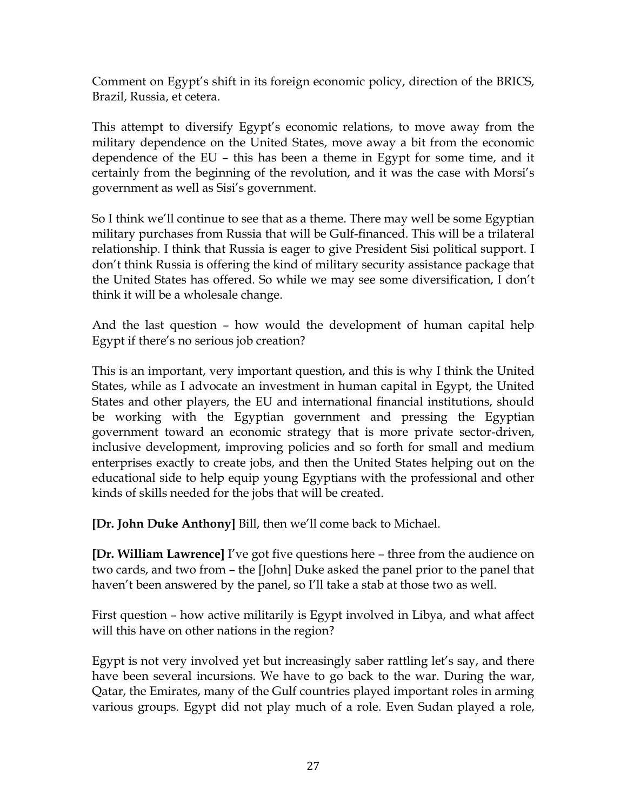Comment on Egypt's shift in its foreign economic policy, direction of the BRICS, Brazil, Russia, et cetera.

This attempt to diversify Egypt's economic relations, to move away from the military dependence on the United States, move away a bit from the economic dependence of the EU – this has been a theme in Egypt for some time, and it certainly from the beginning of the revolution, and it was the case with Morsi's government as well as Sisi's government.

So I think we'll continue to see that as a theme. There may well be some Egyptian military purchases from Russia that will be Gulf-financed. This will be a trilateral relationship. I think that Russia is eager to give President Sisi political support. I don't think Russia is offering the kind of military security assistance package that the United States has offered. So while we may see some diversification, I don't think it will be a wholesale change.

And the last question – how would the development of human capital help Egypt if there's no serious job creation?

This is an important, very important question, and this is why I think the United States, while as I advocate an investment in human capital in Egypt, the United States and other players, the EU and international financial institutions, should be working with the Egyptian government and pressing the Egyptian government toward an economic strategy that is more private sector-driven, inclusive development, improving policies and so forth for small and medium enterprises exactly to create jobs, and then the United States helping out on the educational side to help equip young Egyptians with the professional and other kinds of skills needed for the jobs that will be created.

**[Dr. John Duke Anthony]** Bill, then we'll come back to Michael.

**[Dr. William Lawrence]** I've got five questions here – three from the audience on two cards, and two from – the [John] Duke asked the panel prior to the panel that haven't been answered by the panel, so I'll take a stab at those two as well.

First question – how active militarily is Egypt involved in Libya, and what affect will this have on other nations in the region?

Egypt is not very involved yet but increasingly saber rattling let's say, and there have been several incursions. We have to go back to the war. During the war, Qatar, the Emirates, many of the Gulf countries played important roles in arming various groups. Egypt did not play much of a role. Even Sudan played a role,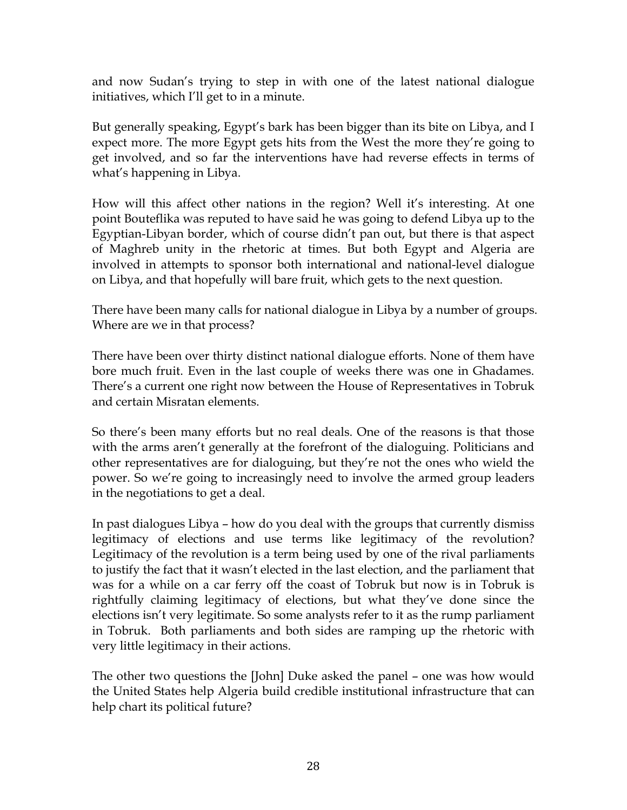and now Sudan's trying to step in with one of the latest national dialogue initiatives, which I'll get to in a minute.

But generally speaking, Egypt's bark has been bigger than its bite on Libya, and I expect more. The more Egypt gets hits from the West the more they're going to get involved, and so far the interventions have had reverse effects in terms of what's happening in Libya.

How will this affect other nations in the region? Well it's interesting. At one point Bouteflika was reputed to have said he was going to defend Libya up to the Egyptian-Libyan border, which of course didn't pan out, but there is that aspect of Maghreb unity in the rhetoric at times. But both Egypt and Algeria are involved in attempts to sponsor both international and national-level dialogue on Libya, and that hopefully will bare fruit, which gets to the next question.

There have been many calls for national dialogue in Libya by a number of groups. Where are we in that process?

There have been over thirty distinct national dialogue efforts. None of them have bore much fruit. Even in the last couple of weeks there was one in Ghadames. There's a current one right now between the House of Representatives in Tobruk and certain Misratan elements.

So there's been many efforts but no real deals. One of the reasons is that those with the arms aren't generally at the forefront of the dialoguing. Politicians and other representatives are for dialoguing, but they're not the ones who wield the power. So we're going to increasingly need to involve the armed group leaders in the negotiations to get a deal.

In past dialogues Libya – how do you deal with the groups that currently dismiss legitimacy of elections and use terms like legitimacy of the revolution? Legitimacy of the revolution is a term being used by one of the rival parliaments to justify the fact that it wasn't elected in the last election, and the parliament that was for a while on a car ferry off the coast of Tobruk but now is in Tobruk is rightfully claiming legitimacy of elections, but what they've done since the elections isn't very legitimate. So some analysts refer to it as the rump parliament in Tobruk. Both parliaments and both sides are ramping up the rhetoric with very little legitimacy in their actions.

The other two questions the [John] Duke asked the panel – one was how would the United States help Algeria build credible institutional infrastructure that can help chart its political future?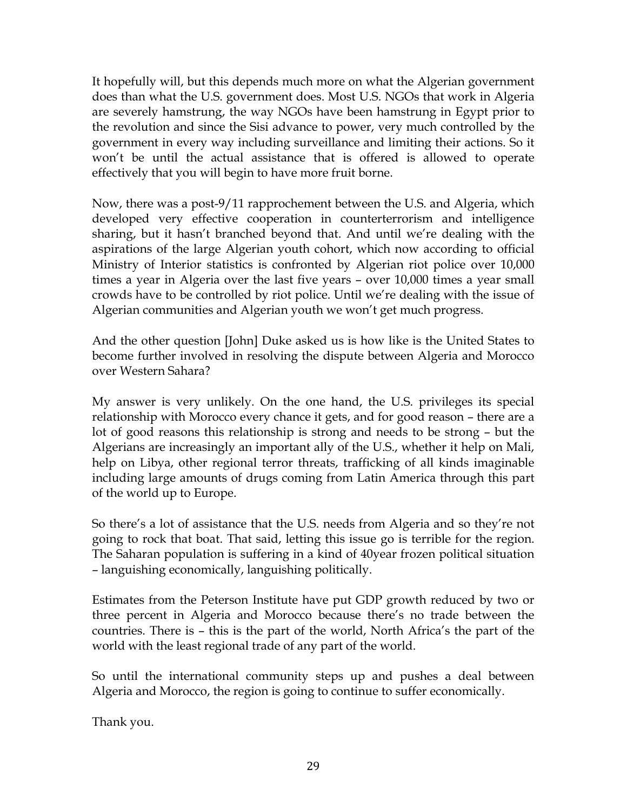It hopefully will, but this depends much more on what the Algerian government does than what the U.S. government does. Most U.S. NGOs that work in Algeria are severely hamstrung, the way NGOs have been hamstrung in Egypt prior to the revolution and since the Sisi advance to power, very much controlled by the government in every way including surveillance and limiting their actions. So it won't be until the actual assistance that is offered is allowed to operate effectively that you will begin to have more fruit borne.

Now, there was a post-9/11 rapprochement between the U.S. and Algeria, which developed very effective cooperation in counterterrorism and intelligence sharing, but it hasn't branched beyond that. And until we're dealing with the aspirations of the large Algerian youth cohort, which now according to official Ministry of Interior statistics is confronted by Algerian riot police over 10,000 times a year in Algeria over the last five years – over 10,000 times a year small crowds have to be controlled by riot police. Until we're dealing with the issue of Algerian communities and Algerian youth we won't get much progress.

And the other question [John] Duke asked us is how like is the United States to become further involved in resolving the dispute between Algeria and Morocco over Western Sahara?

My answer is very unlikely. On the one hand, the U.S. privileges its special relationship with Morocco every chance it gets, and for good reason – there are a lot of good reasons this relationship is strong and needs to be strong – but the Algerians are increasingly an important ally of the U.S., whether it help on Mali, help on Libya, other regional terror threats, trafficking of all kinds imaginable including large amounts of drugs coming from Latin America through this part of the world up to Europe.

So there's a lot of assistance that the U.S. needs from Algeria and so they're not going to rock that boat. That said, letting this issue go is terrible for the region. The Saharan population is suffering in a kind of 40year frozen political situation – languishing economically, languishing politically.

Estimates from the Peterson Institute have put GDP growth reduced by two or three percent in Algeria and Morocco because there's no trade between the countries. There is – this is the part of the world, North Africa's the part of the world with the least regional trade of any part of the world.

So until the international community steps up and pushes a deal between Algeria and Morocco, the region is going to continue to suffer economically.

Thank you.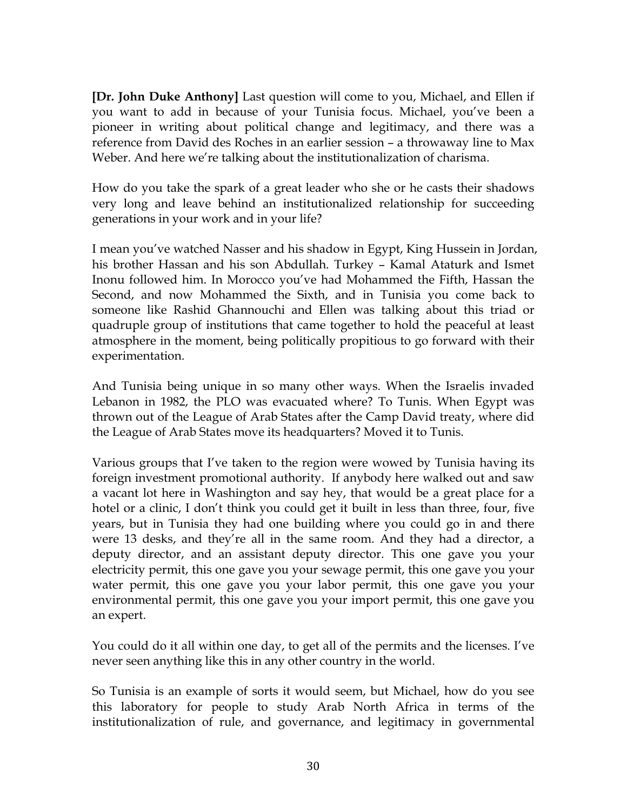**[Dr. John Duke Anthony]** Last question will come to you, Michael, and Ellen if you want to add in because of your Tunisia focus. Michael, you've been a pioneer in writing about political change and legitimacy, and there was a reference from David des Roches in an earlier session – a throwaway line to Max Weber. And here we're talking about the institutionalization of charisma.

How do you take the spark of a great leader who she or he casts their shadows very long and leave behind an institutionalized relationship for succeeding generations in your work and in your life?

I mean you've watched Nasser and his shadow in Egypt, King Hussein in Jordan, his brother Hassan and his son Abdullah. Turkey – Kamal Ataturk and Ismet Inonu followed him. In Morocco you've had Mohammed the Fifth, Hassan the Second, and now Mohammed the Sixth, and in Tunisia you come back to someone like Rashid Ghannouchi and Ellen was talking about this triad or quadruple group of institutions that came together to hold the peaceful at least atmosphere in the moment, being politically propitious to go forward with their experimentation.

And Tunisia being unique in so many other ways. When the Israelis invaded Lebanon in 1982, the PLO was evacuated where? To Tunis. When Egypt was thrown out of the League of Arab States after the Camp David treaty, where did the League of Arab States move its headquarters? Moved it to Tunis.

Various groups that I've taken to the region were wowed by Tunisia having its foreign investment promotional authority. If anybody here walked out and saw a vacant lot here in Washington and say hey, that would be a great place for a hotel or a clinic, I don't think you could get it built in less than three, four, five years, but in Tunisia they had one building where you could go in and there were 13 desks, and they're all in the same room. And they had a director, a deputy director, and an assistant deputy director. This one gave you your electricity permit, this one gave you your sewage permit, this one gave you your water permit, this one gave you your labor permit, this one gave you your environmental permit, this one gave you your import permit, this one gave you an expert.

You could do it all within one day, to get all of the permits and the licenses. I've never seen anything like this in any other country in the world.

So Tunisia is an example of sorts it would seem, but Michael, how do you see this laboratory for people to study Arab North Africa in terms of the institutionalization of rule, and governance, and legitimacy in governmental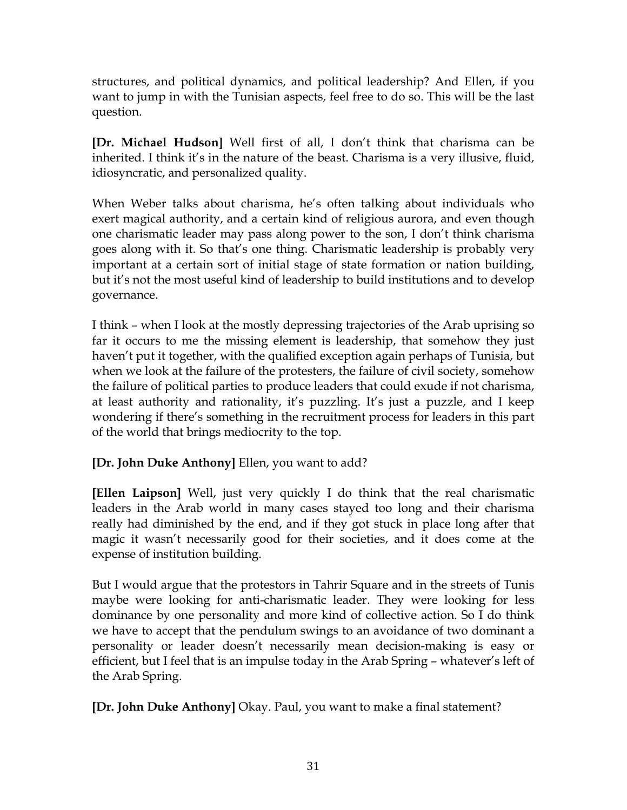structures, and political dynamics, and political leadership? And Ellen, if you want to jump in with the Tunisian aspects, feel free to do so. This will be the last question.

**[Dr. Michael Hudson]** Well first of all, I don't think that charisma can be inherited. I think it's in the nature of the beast. Charisma is a very illusive, fluid, idiosyncratic, and personalized quality.

When Weber talks about charisma, he's often talking about individuals who exert magical authority, and a certain kind of religious aurora, and even though one charismatic leader may pass along power to the son, I don't think charisma goes along with it. So that's one thing. Charismatic leadership is probably very important at a certain sort of initial stage of state formation or nation building, but it's not the most useful kind of leadership to build institutions and to develop governance.

I think – when I look at the mostly depressing trajectories of the Arab uprising so far it occurs to me the missing element is leadership, that somehow they just haven't put it together, with the qualified exception again perhaps of Tunisia, but when we look at the failure of the protesters, the failure of civil society, somehow the failure of political parties to produce leaders that could exude if not charisma, at least authority and rationality, it's puzzling. It's just a puzzle, and I keep wondering if there's something in the recruitment process for leaders in this part of the world that brings mediocrity to the top.

**[Dr. John Duke Anthony]** Ellen, you want to add?

**[Ellen Laipson]** Well, just very quickly I do think that the real charismatic leaders in the Arab world in many cases stayed too long and their charisma really had diminished by the end, and if they got stuck in place long after that magic it wasn't necessarily good for their societies, and it does come at the expense of institution building.

But I would argue that the protestors in Tahrir Square and in the streets of Tunis maybe were looking for anti-charismatic leader. They were looking for less dominance by one personality and more kind of collective action. So I do think we have to accept that the pendulum swings to an avoidance of two dominant a personality or leader doesn't necessarily mean decision-making is easy or efficient, but I feel that is an impulse today in the Arab Spring – whatever's left of the Arab Spring.

**[Dr. John Duke Anthony]** Okay. Paul, you want to make a final statement?